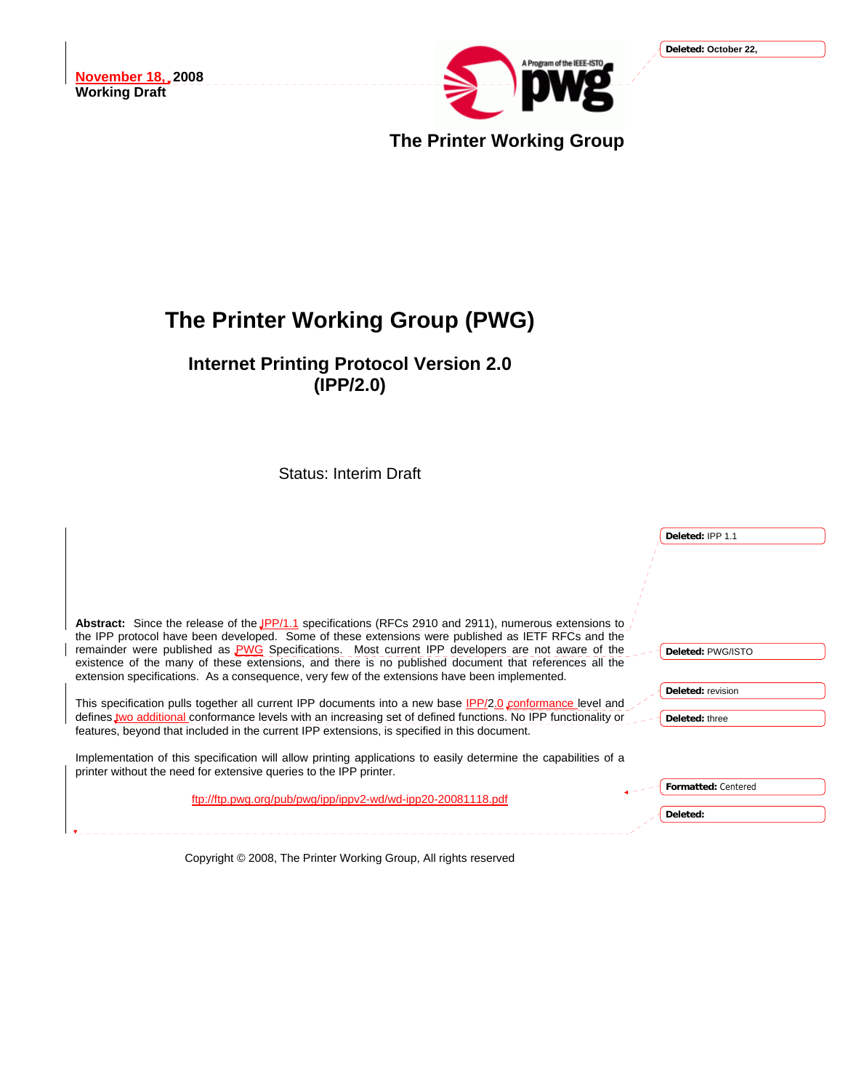

**The Printer Working Group**

# **The Printer Working Group (PWG)**

**Internet Printing Protocol Version 2.0 (IPP/2.0)** 

Status: Interim Draft

|                                                                                                                                                                                                                | Deleted: IPP 1.1    |
|----------------------------------------------------------------------------------------------------------------------------------------------------------------------------------------------------------------|---------------------|
|                                                                                                                                                                                                                |                     |
|                                                                                                                                                                                                                |                     |
|                                                                                                                                                                                                                |                     |
|                                                                                                                                                                                                                |                     |
| Abstract: Since the release of the JPP/1.1 specifications (RFCs 2910 and 2911), numerous extensions to<br>the IPP protocol have been developed. Some of these extensions were published as IETF RFCs and the   |                     |
| remainder were published as <b>PWG</b> Specifications. Most current IPP developers are not aware of the                                                                                                        | Deleted: PWG/ISTO   |
| existence of the many of these extensions, and there is no published document that references all the                                                                                                          |                     |
| extension specifications. As a consequence, very few of the extensions have been implemented.                                                                                                                  | Deleted: revision   |
| This specification pulls together all current IPP documents into a new base IPP/2.0 conformance level and                                                                                                      |                     |
| defines two additional conformance levels with an increasing set of defined functions. No IPP functionality or<br>features, beyond that included in the current IPP extensions, is specified in this document. | Deleted: three      |
|                                                                                                                                                                                                                |                     |
| Implementation of this specification will allow printing applications to easily determine the capabilities of a                                                                                                |                     |
| printer without the need for extensive queries to the IPP printer.                                                                                                                                             | Formatted: Centered |
| ftp://ftp.pwg.org/pub/pwg/ipp/ippv2-wd/wd-ipp20-20081118.pdf                                                                                                                                                   |                     |
|                                                                                                                                                                                                                | Deleted:            |
|                                                                                                                                                                                                                |                     |

Copyright © 2008, The Printer Working Group, All rights reserved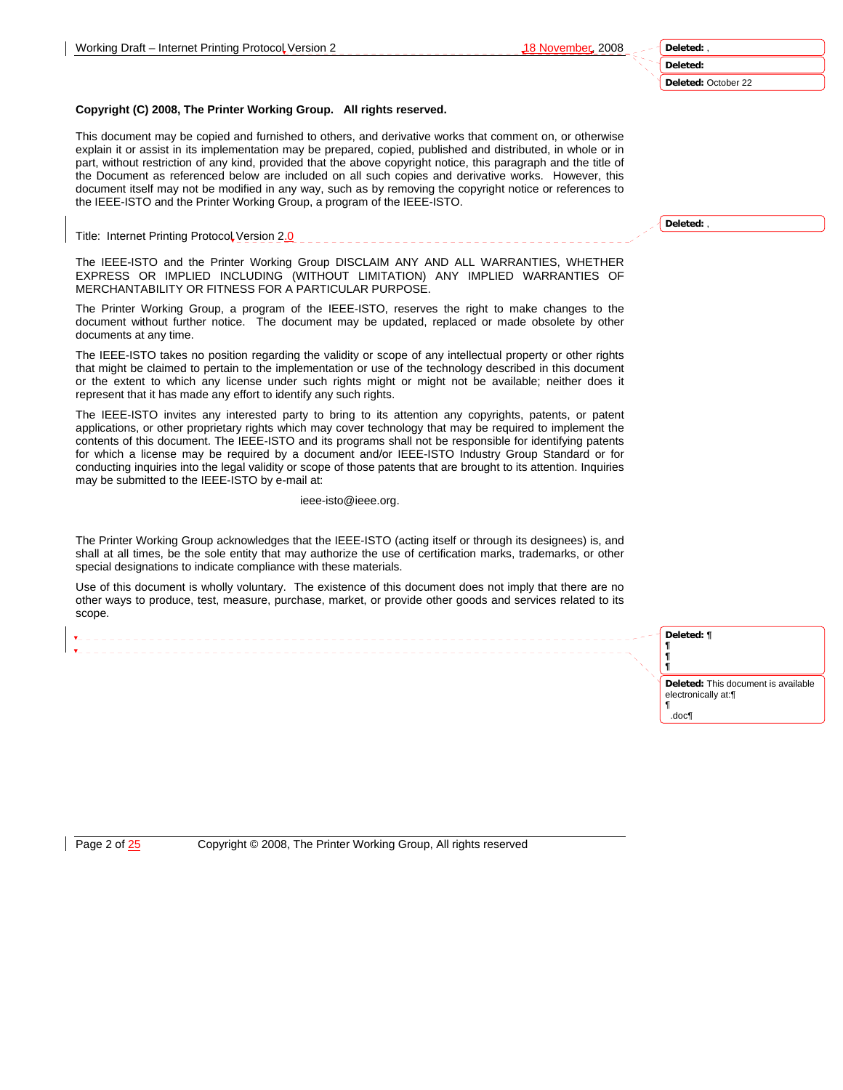#### **Deleted:** October 22

#### **Copyright (C) 2008, The Printer Working Group. All rights reserved.**

This document may be copied and furnished to others, and derivative works that comment on, or otherwise explain it or assist in its implementation may be prepared, copied, published and distributed, in whole or in part, without restriction of any kind, provided that the above copyright notice, this paragraph and the title of the Document as referenced below are included on all such copies and derivative works. However, this document itself may not be modified in any way, such as by removing the copyright notice or references to the IEEE-ISTO and the Printer Working Group, a program of the IEEE-ISTO.

Title: Internet Printing Protocol Version 2.0

The IEEE-ISTO and the Printer Working Group DISCLAIM ANY AND ALL WARRANTIES, WHETHER EXPRESS OR IMPLIED INCLUDING (WITHOUT LIMITATION) ANY IMPLIED WARRANTIES OF MERCHANTABILITY OR FITNESS FOR A PARTICULAR PURPOSE.

The Printer Working Group, a program of the IEEE-ISTO, reserves the right to make changes to the document without further notice. The document may be updated, replaced or made obsolete by other documents at any time.

The IEEE-ISTO takes no position regarding the validity or scope of any intellectual property or other rights that might be claimed to pertain to the implementation or use of the technology described in this document or the extent to which any license under such rights might or might not be available; neither does it represent that it has made any effort to identify any such rights.

The IEEE-ISTO invites any interested party to bring to its attention any copyrights, patents, or patent applications, or other proprietary rights which may cover technology that may be required to implement the contents of this document. The IEEE-ISTO and its programs shall not be responsible for identifying patents for which a license may be required by a document and/or IEEE-ISTO Industry Group Standard or for conducting inquiries into the legal validity or scope of those patents that are brought to its attention. Inquiries may be submitted to the IEEE-ISTO by e-mail at:

ieee-isto@ieee.org.

The Printer Working Group acknowledges that the IEEE-ISTO (acting itself or through its designees) is, and shall at all times, be the sole entity that may authorize the use of certification marks, trademarks, or other special designations to indicate compliance with these materials.

Use of this document is wholly voluntary. The existence of this document does not imply that there are no other ways to produce, test, measure, purchase, market, or provide other goods and services related to its scope.

**Deleted: ¶ ¶ ¶ ¶ Deleted:** This document is available electronically at:¶ ¶ .doc¶

Page 2 of  $\frac{25}{25}$  Copyright © 2008, The Printer Working Group, All rights reserved

**Deleted:** ,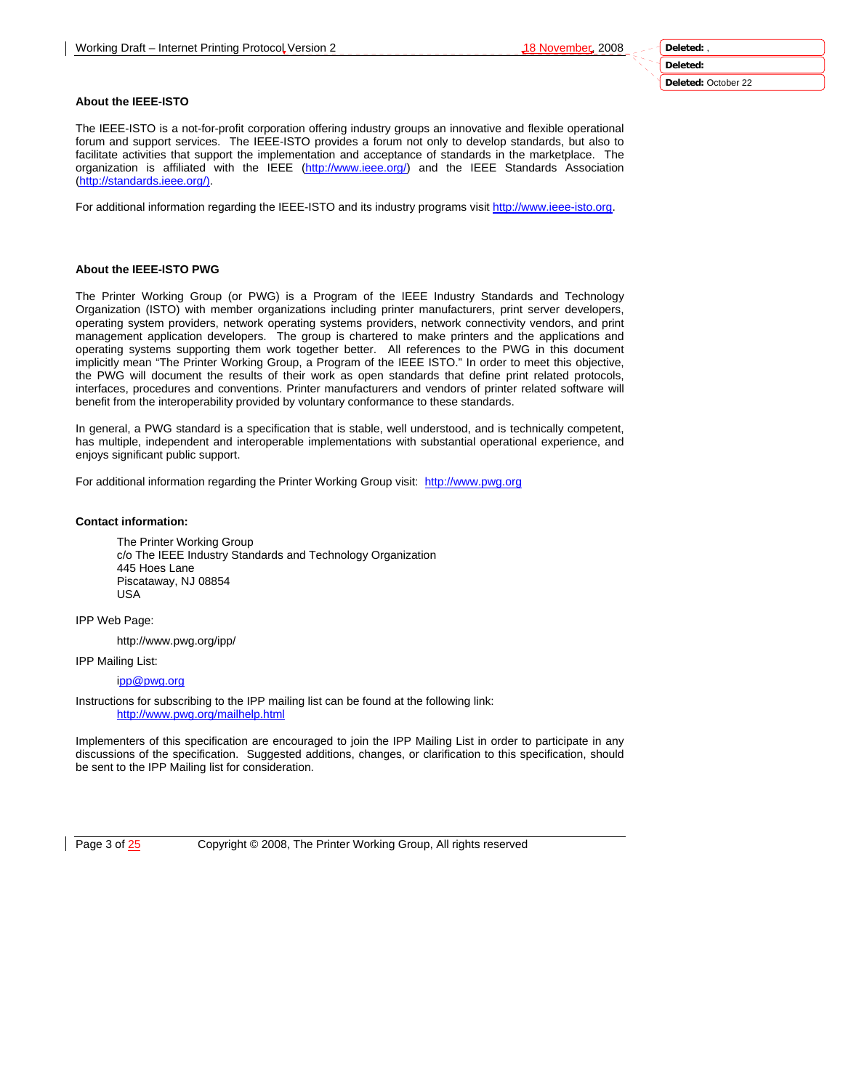**Deleted:** 

**Deleted:** October 22

## **About the IEEE-ISTO**

The IEEE-ISTO is a not-for-profit corporation offering industry groups an innovative and flexible operational forum and support services. The IEEE-ISTO provides a forum not only to develop standards, but also to facilitate activities that support the implementation and acceptance of standards in the marketplace. The organization is affiliated with the IEEE (http://www.ieee.org/) and the IEEE Standards Association (http://standards.ieee.org/).

For additional information regarding the IEEE-ISTO and its industry programs visit http://www.ieee-isto.org.

## **About the IEEE-ISTO PWG**

The Printer Working Group (or PWG) is a Program of the IEEE Industry Standards and Technology Organization (ISTO) with member organizations including printer manufacturers, print server developers, operating system providers, network operating systems providers, network connectivity vendors, and print management application developers. The group is chartered to make printers and the applications and operating systems supporting them work together better. All references to the PWG in this document implicitly mean "The Printer Working Group, a Program of the IEEE ISTO." In order to meet this objective, the PWG will document the results of their work as open standards that define print related protocols, interfaces, procedures and conventions. Printer manufacturers and vendors of printer related software will benefit from the interoperability provided by voluntary conformance to these standards.

In general, a PWG standard is a specification that is stable, well understood, and is technically competent, has multiple, independent and interoperable implementations with substantial operational experience, and enjoys significant public support.

For additional information regarding the Printer Working Group visit: http://www.pwg.org

## **Contact information:**

The Printer Working Group c/o The IEEE Industry Standards and Technology Organization 445 Hoes Lane Piscataway, NJ 08854 USA

IPP Web Page:

http://www.pwg.org/ipp/

IPP Mailing List:

ipp@pwg.org

Instructions for subscribing to the IPP mailing list can be found at the following link: http://www.pwg.org/mailhelp.html

Implementers of this specification are encouraged to join the IPP Mailing List in order to participate in any discussions of the specification. Suggested additions, changes, or clarification to this specification, should be sent to the IPP Mailing list for consideration.

Page 3 of  $25$  Copyright © 2008, The Printer Working Group, All rights reserved

**Deleted:** ,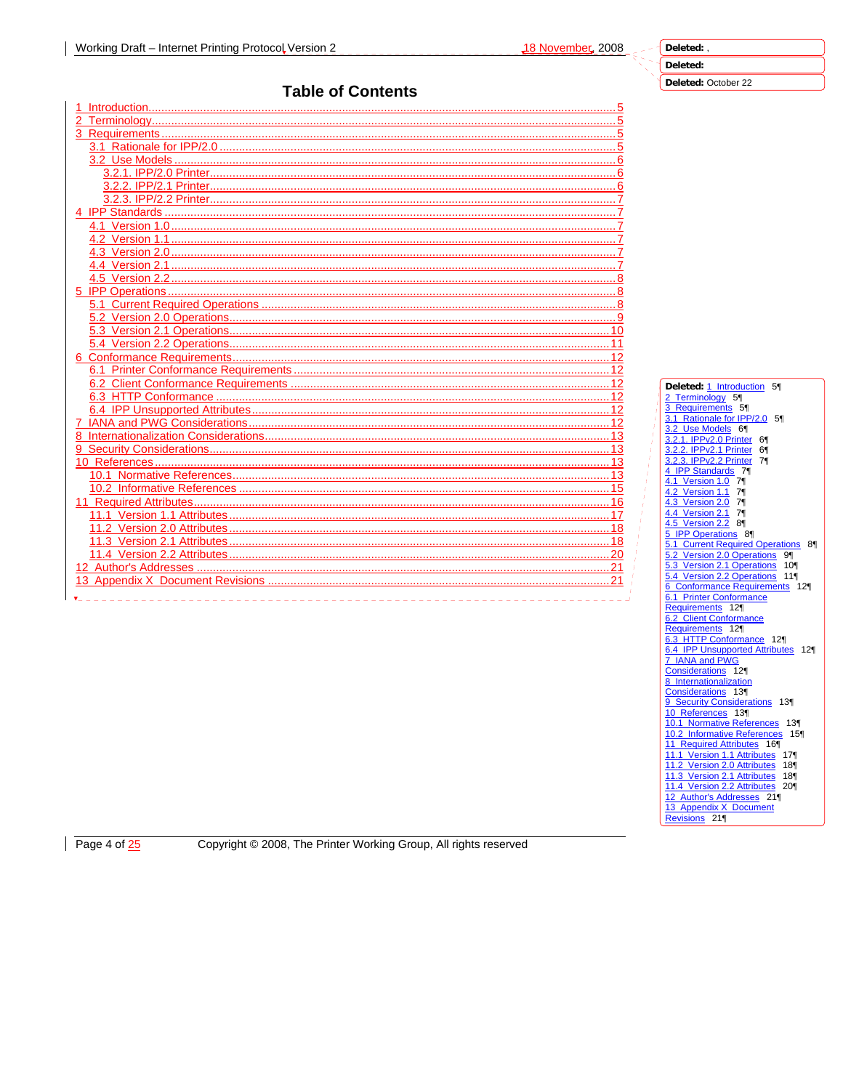# Deleted: October 22

# **Table of Contents**

| Dele                       |
|----------------------------|
| $2$ Te                     |
| 3 R6                       |
| 3.1<br>$\overline{3.2}$    |
| 3.2.1                      |
| 3.2.2                      |
| 3.2.3                      |
| $4$ IP<br>4.1 <sup>1</sup> |
| 4.2                        |
| 4.3'                       |
| $4.4$ $^{\circ}$           |
| 4.5<br>$5$ IP              |
| 18<br>5.1 <sup>0</sup>     |
| 5.2'                       |
| 5.3                        |
| 5.4<br>$6 \text{ }$ Co     |
| $\sim$ $\sim$ $\sim$       |

| Deleted: 1 Introduction 5¶                                     |
|----------------------------------------------------------------|
| 2 Terminology 5                                                |
| l<br>3 Requirements 5                                          |
| 3.1 Rationale for IPP/2.0 5                                    |
| 3.2 Use Models 6                                               |
| 3.2.1. IPPv2.0 Printer 6                                       |
| 3.2.2. IPPv2.1 Printer 6                                       |
| 3.2.3. IPPv2.2 Printer 7                                       |
| 4 IPP Standards 71                                             |
| 4.1 Version 1.0 7                                              |
|                                                                |
| 4.2 Version 1.1 7                                              |
|                                                                |
| 4.5 Version 2.2 81                                             |
| 5 IPP Operations 8                                             |
| 5.1 Current Required Operations 81                             |
| 5.2 Version 2.0 Operations 91                                  |
| 5.3 Version 2.1 Operations 10                                  |
|                                                                |
| 5.4 Version 2.2 Operations 11<br>6 Conformance Requirements 12 |
| 6.1 Printer Conformance                                        |
|                                                                |
| Requirements 12                                                |
| 6.2 Client Conformance                                         |
| Requirements 12                                                |
| 6.3 HTTP Conformance 12¶                                       |
| 6.4 IPP Unsupported Attributes 12<br>7 IANA and PWG            |
|                                                                |
| Considerations 12                                              |
| 8 Internationalization                                         |
| Considerations 13                                              |
| 9 Security Considerations 13                                   |
| 10 References 13                                               |
| 10.1 Normative References 13                                   |
| 10.2 Informative References 15                                 |
| 11 Required Attributes 16¶                                     |
| 11.1 Version 1.1 Attributes 17                                 |
| 11.2 Version 2.0 Attributes 18                                 |
|                                                                |
| 11.4 Version 2.2 Attributes 20                                 |
| 12 Author's Addresses 21¶                                      |
| 13 Appendix X Document                                         |
| Revisions 21¶                                                  |
|                                                                |

Page 4 of  $\frac{25}{2}$ 

Copyright © 2008, The Printer Working Group, All rights reserved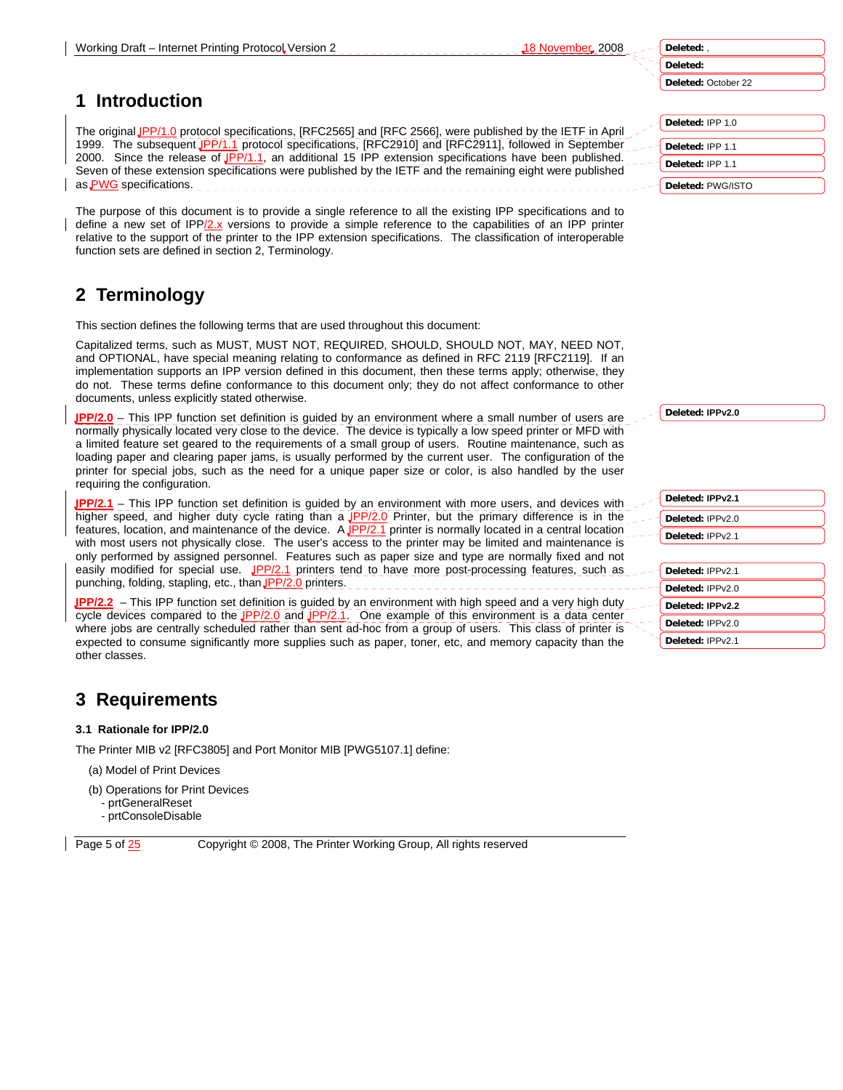**Deleted:** October 22

# **1 Introduction**

The original IPP/1.0 protocol specifications, [RFC2565] and [RFC 2566], were published by the IETF in April 1999. The subsequent JPP/1.1 protocol specifications, [RFC2910] and [RFC2911], followed in September 2000. Since the release of IPP/1.1, an additional 15 IPP extension specifications have been published. Seven of these extension specifications were published by the IETF and the remaining eight were published as **PWG** specifications.

The purpose of this document is to provide a single reference to all the existing IPP specifications and to define a new set of IPP/2.x versions to provide a simple reference to the capabilities of an IPP printer relative to the support of the printer to the IPP extension specifications. The classification of interoperable function sets are defined in section 2, Terminology.

# **2 Terminology**

This section defines the following terms that are used throughout this document:

Capitalized terms, such as MUST, MUST NOT, REQUIRED, SHOULD, SHOULD NOT, MAY, NEED NOT, and OPTIONAL, have special meaning relating to conformance as defined in RFC 2119 [RFC2119]. If an implementation supports an IPP version defined in this document, then these terms apply; otherwise, they do not. These terms define conformance to this document only; they do not affect conformance to other documents, unless explicitly stated otherwise.

**IPP/2.0** – This IPP function set definition is guided by an environment where a small number of users are normally physically located very close to the device. The device is typically a low speed printer or MFD with a limited feature set geared to the requirements of a small group of users. Routine maintenance, such as loading paper and clearing paper jams, is usually performed by the current user. The configuration of the printer for special jobs, such as the need for a unique paper size or color, is also handled by the user requiring the configuration.

**IPP/2.1** – This IPP function set definition is guided by an environment with more users, and devices with higher speed, and higher duty cycle rating than a **IPP/2.0** Printer, but the primary difference is in the features, location, and maintenance of the device. A JPP/2.1 printer is normally located in a central location with most users not physically close. The user's access to the printer may be limited and maintenance is only performed by assigned personnel. Features such as paper size and type are normally fixed and not easily modified for special use.  $JPP/2.1$  printers tend to have more post-processing features, such as punching, folding, stapling, etc., than JPP/2.0 printers.

**IPP/2.2** – This IPP function set definition is guided by an environment with high speed and a very high duty cycle devices compared to the  $JPP/2.0$  and  $JPP/2.1$ . One example of this environment is a data center where jobs are centrally scheduled rather than sent ad-hoc from a group of users. This class of printer is expected to consume significantly more supplies such as paper, toner, etc, and memory capacity than the other classes.

# **3 Requirements**

#### **3.1 Rationale for IPP/2.0**

The Printer MIB v2 [RFC3805] and Port Monitor MIB [PWG5107.1] define:

- (a) Model of Print Devices
- (b) Operations for Print Devices
- prtGeneralReset
- prtConsoleDisable

Page 5 of  $\frac{25}{25}$  Copyright © 2008, The Printer Working Group, All rights reserved

**Deleted:** IPP 1.0 **Deleted:** IPP 1.1 **Deleted:** IPP 1.1 **Deleted:** PWG/ISTO

**Deleted: IPPv2.0**

| Deleted: IPPv2.1 |
|------------------|
| Deleted: IPPv2.0 |
| Deleted: IPPv2.1 |
|                  |
| Deleted: IPPv2.1 |
| Deleted: IPPv2.0 |
| Deleted: IPPv2.2 |
| Deleted: IPPv2.0 |
| Deleted: IPPv2.1 |

**Deleted:** , **Deleted:**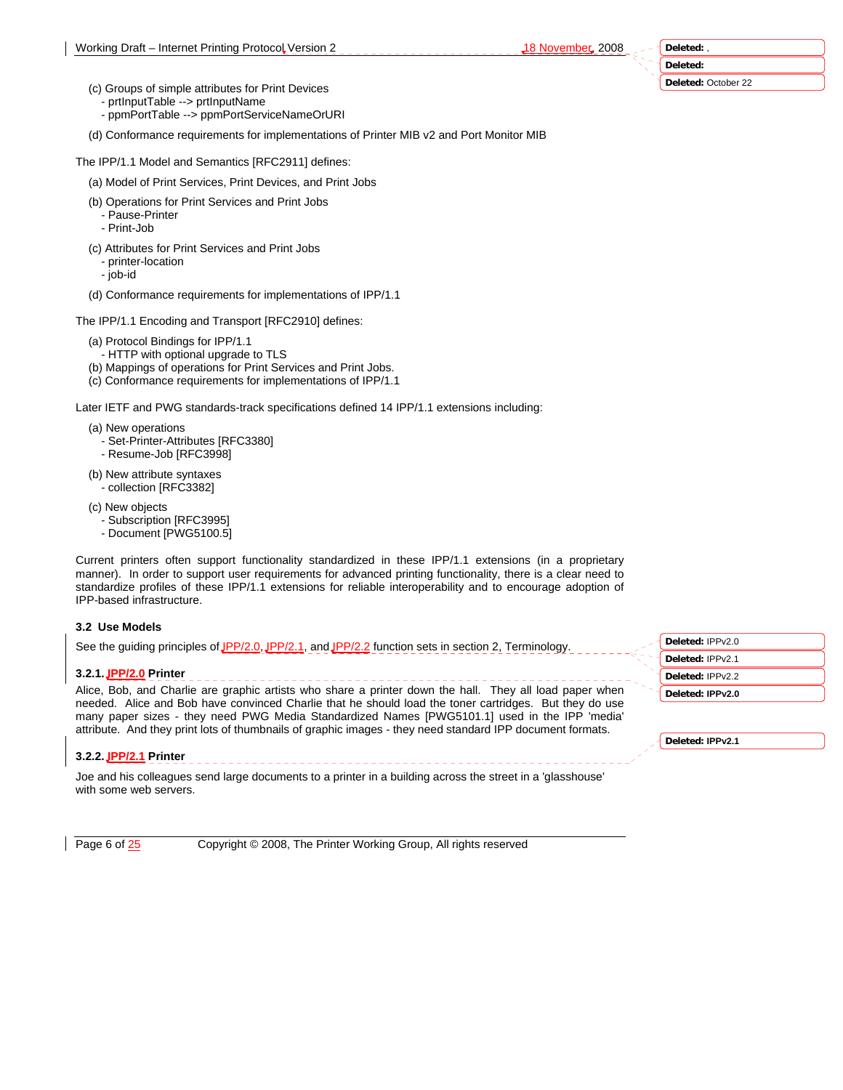**Deleted:** October 22

- (c) Groups of simple attributes for Print Devices - prtInputTable --> prtInputName
	- ppmPortTable --> ppmPortServiceNameOrURI

(d) Conformance requirements for implementations of Printer MIB v2 and Port Monitor MIB

The IPP/1.1 Model and Semantics [RFC2911] defines:

- (a) Model of Print Services, Print Devices, and Print Jobs
- (b) Operations for Print Services and Print Jobs
	- Pause-Printer - Print-Job
- 
- (c) Attributes for Print Services and Print Jobs - printer-location
	- job-id
- (d) Conformance requirements for implementations of IPP/1.1

The IPP/1.1 Encoding and Transport [RFC2910] defines:

- (a) Protocol Bindings for IPP/1.1
- HTTP with optional upgrade to TLS
- (b) Mappings of operations for Print Services and Print Jobs.
- (c) Conformance requirements for implementations of IPP/1.1

Later IETF and PWG standards-track specifications defined 14 IPP/1.1 extensions including:

- (a) New operations
	- Set-Printer-Attributes [RFC3380] - Resume-Job [RFC3998]
- (b) New attribute syntaxes
- collection [RFC3382]
- (c) New objects
	- Subscription [RFC3995]
	- Document [PWG5100.5]

Current printers often support functionality standardized in these IPP/1.1 extensions (in a proprietary manner). In order to support user requirements for advanced printing functionality, there is a clear need to standardize profiles of these IPP/1.1 extensions for reliable interoperability and to encourage adoption of IPP-based infrastructure.

#### **3.2 Use Models**

See the guiding principles of JPP/2.0, JPP/2.1, and JPP/2.2 function sets in section 2, Terminology.

#### **3.2.1. IPP/2.0 Printer**

Alice, Bob, and Charlie are graphic artists who share a printer down the hall. They all load paper when needed. Alice and Bob have convinced Charlie that he should load the toner cartridges. But they do use many paper sizes - they need PWG Media Standardized Names [PWG5101.1] used in the IPP 'media' attribute. And they print lots of thumbnails of graphic images - they need standard IPP document formats.

#### **3.2.2. IPP/2.1 Printer**

Joe and his colleagues send large documents to a printer in a building across the street in a 'glasshouse' with some web servers.

Page 6 of  $\frac{25}{25}$  Copyright © 2008, The Printer Working Group, All rights reserved

**Deleted:** IPPv2.0 **Deleted:** IPPv2.1 **Deleted:** IPPv2.2 **Deleted: IPPv2.0**

**Deleted: IPPv2.1**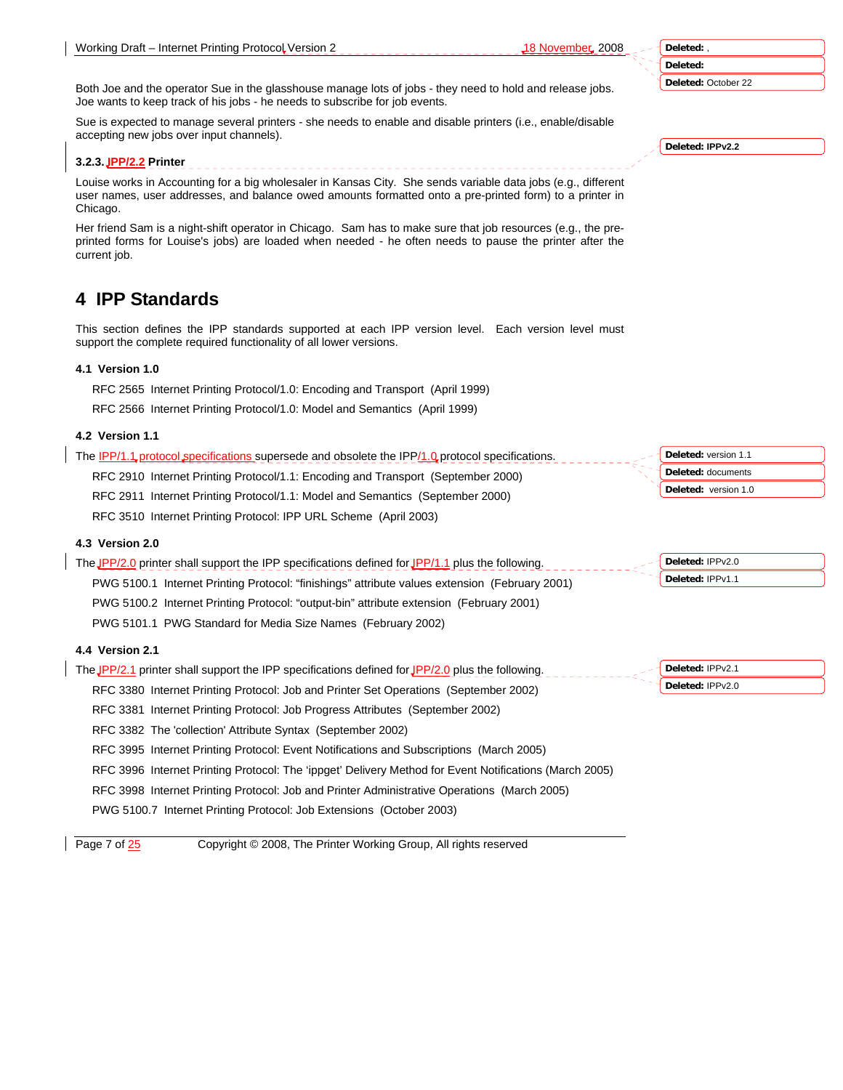| Deleted: |  |
|----------|--|
| Deleted: |  |

**Deleted:** October 22

Both Joe and the operator Sue in the glasshouse manage lots of jobs - they need to hold and release jobs. Joe wants to keep track of his jobs - he needs to subscribe for job events.

Sue is expected to manage several printers - she needs to enable and disable printers (i.e., enable/disable accepting new jobs over input channels).

## **3.2.3. IPP/2.2 Printer**

Louise works in Accounting for a big wholesaler in Kansas City. She sends variable data jobs (e.g., different user names, user addresses, and balance owed amounts formatted onto a pre-printed form) to a printer in Chicago.

Her friend Sam is a night-shift operator in Chicago. Sam has to make sure that job resources (e.g., the preprinted forms for Louise's jobs) are loaded when needed - he often needs to pause the printer after the current job.

# **4 IPP Standards**

This section defines the IPP standards supported at each IPP version level. Each version level must support the complete required functionality of all lower versions.

# **4.1 Version 1.0**

RFC 2565 Internet Printing Protocol/1.0: Encoding and Transport (April 1999)

RFC 2566 Internet Printing Protocol/1.0: Model and Semantics (April 1999)

# **4.2 Version 1.1**

| RFC 2910 Internet Printing Protocol/1.1: Encoding and Transport (September 2000) | <b>Deleted:</b> documents   |
|----------------------------------------------------------------------------------|-----------------------------|
| RFC 2911 Internet Printing Protocol/1.1: Model and Semantics (September 2000)    | <b>Deleted:</b> version 1.0 |

RFC 3510 Internet Printing Protocol: IPP URL Scheme (April 2003)

## **4.3 Version 2.0**

| The JPP/2.0 printer shall support the IPP specifications defined for JPP/1.1 plus the following. | Deleted: IPPv2.0 |
|--------------------------------------------------------------------------------------------------|------------------|
| PWG 5100.1 Internet Printing Protocol: "finishings" attribute values extension (February 2001)   | Deleted: IPPv1.1 |
| PWG 5100.2 Internet Printing Protocol: "output-bin" attribute extension (February 2001)          |                  |

PWG 5101.1 PWG Standard for Media Size Names (February 2002)

## **4.4 Version 2.1**

| The JPP/2.1 printer shall support the IPP specifications defined for JPP/2.0 plus the following.       | Deleted: IPPv2.1 |
|--------------------------------------------------------------------------------------------------------|------------------|
| RFC 3380 Internet Printing Protocol: Job and Printer Set Operations (September 2002)                   | Deleted: IPPv2.0 |
| RFC 3381 Internet Printing Protocol: Job Progress Attributes (September 2002)                          |                  |
| RFC 3382 The 'collection' Attribute Syntax (September 2002)                                            |                  |
| RFC 3995 Internet Printing Protocol: Event Notifications and Subscriptions (March 2005)                |                  |
| RFC 3996 Internet Printing Protocol: The 'ippget' Delivery Method for Event Notifications (March 2005) |                  |
| RFC 3998 Internet Printing Protocol: Job and Printer Administrative Operations (March 2005)            |                  |

PWG 5100.7 Internet Printing Protocol: Job Extensions (October 2003)

Page 7 of  $\frac{25}{25}$  Copyright © 2008, The Printer Working Group, All rights reserved

**Deleted: IPPv2.2**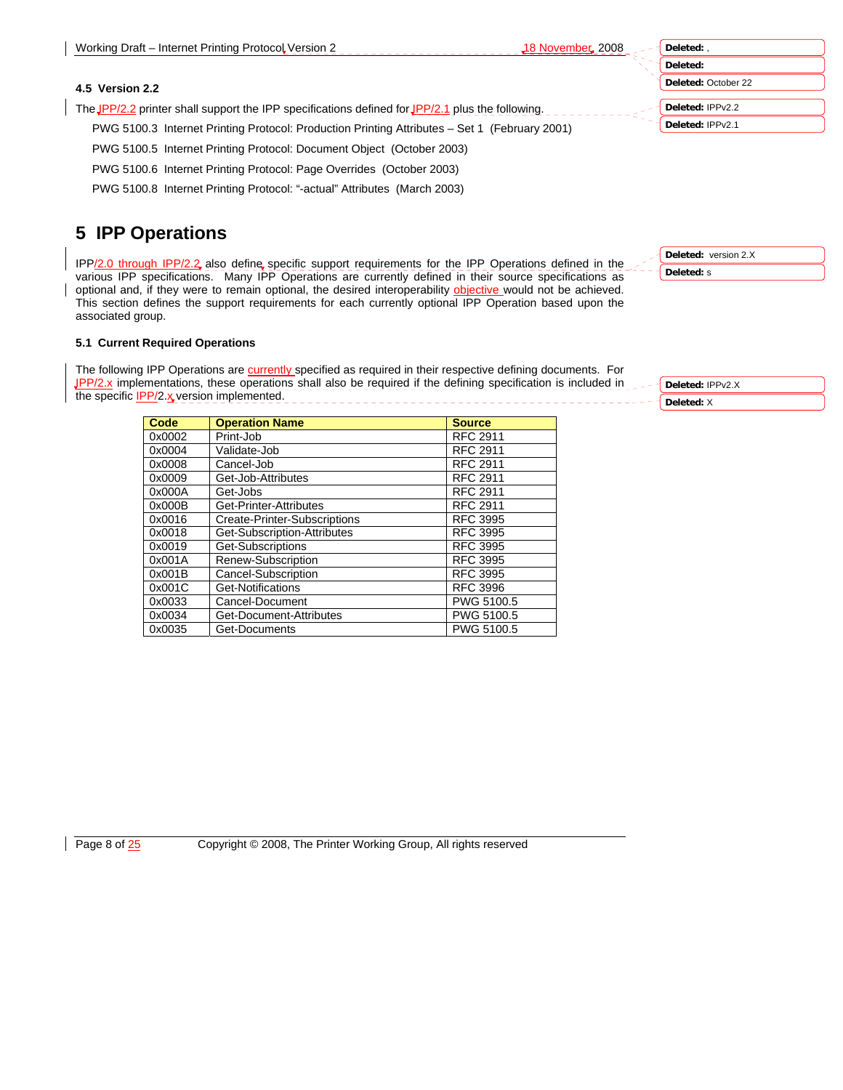#### **Deleted:** October 22

**Deleted:** IPPv2.2

**Deleted:** IPPv2.1

PWG 5100.5 Internet Printing Protocol: Document Object (October 2003)

PWG 5100.6 Internet Printing Protocol: Page Overrides (October 2003)

The JPP/2.2 printer shall support the IPP specifications defined for JPP/2.1 plus the following.

PWG 5100.3 Internet Printing Protocol: Production Printing Attributes – Set 1 (February 2001)

PWG 5100.8 Internet Printing Protocol: "-actual" Attributes (March 2003)

# **5 IPP Operations**

**4.5 Version 2.2** 

IPP/2.0 through IPP/2.2 also define specific support requirements for the IPP Operations defined in the various IPP specifications. Many IPP Operations are currently defined in their source specifications as optional and, if they were to remain optional, the desired interoperability objective would not be achieved. This section defines the support requirements for each currently optional IPP Operation based upon the associated group.

#### **5.1 Current Required Operations**

The following IPP Operations are currently specified as required in their respective defining documents. For **IPP/2.x** implementations, these operations shall also be required if the defining specification is included in the specific **IPP/2.x** version implemented.

| Code   | <b>Operation Name</b>        | <b>Source</b>   |
|--------|------------------------------|-----------------|
| 0x0002 | Print-Job                    | <b>RFC 2911</b> |
| 0x0004 | Validate-Job                 | <b>RFC 2911</b> |
| 0x0008 | Cancel-Job                   | <b>RFC 2911</b> |
| 0x0009 | Get-Job-Attributes           | <b>RFC 2911</b> |
| 0x000A | Get-Jobs                     | <b>RFC 2911</b> |
| 0x000B | Get-Printer-Attributes       | <b>RFC 2911</b> |
| 0x0016 | Create-Printer-Subscriptions | <b>RFC 3995</b> |
| 0x0018 | Get-Subscription-Attributes  | <b>RFC 3995</b> |
| 0x0019 | Get-Subscriptions            | <b>RFC 3995</b> |
| 0x001A | Renew-Subscription           | <b>RFC 3995</b> |
| 0x001B | Cancel-Subscription          | <b>RFC 3995</b> |
| 0x001C | Get-Notifications            | <b>RFC 3996</b> |
| 0x0033 | Cancel-Document              | PWG 5100.5      |
| 0x0034 | Get-Document-Attributes      | PWG 5100.5      |
| 0x0035 | Get-Documents                | PWG 5100.5      |

**Deleted:** s

**Deleted:** version 2.X

**Deleted:** IPPv2.X **Deleted:** X

Page 8 of  $\frac{25}{25}$  Copyright © 2008, The Printer Working Group, All rights reserved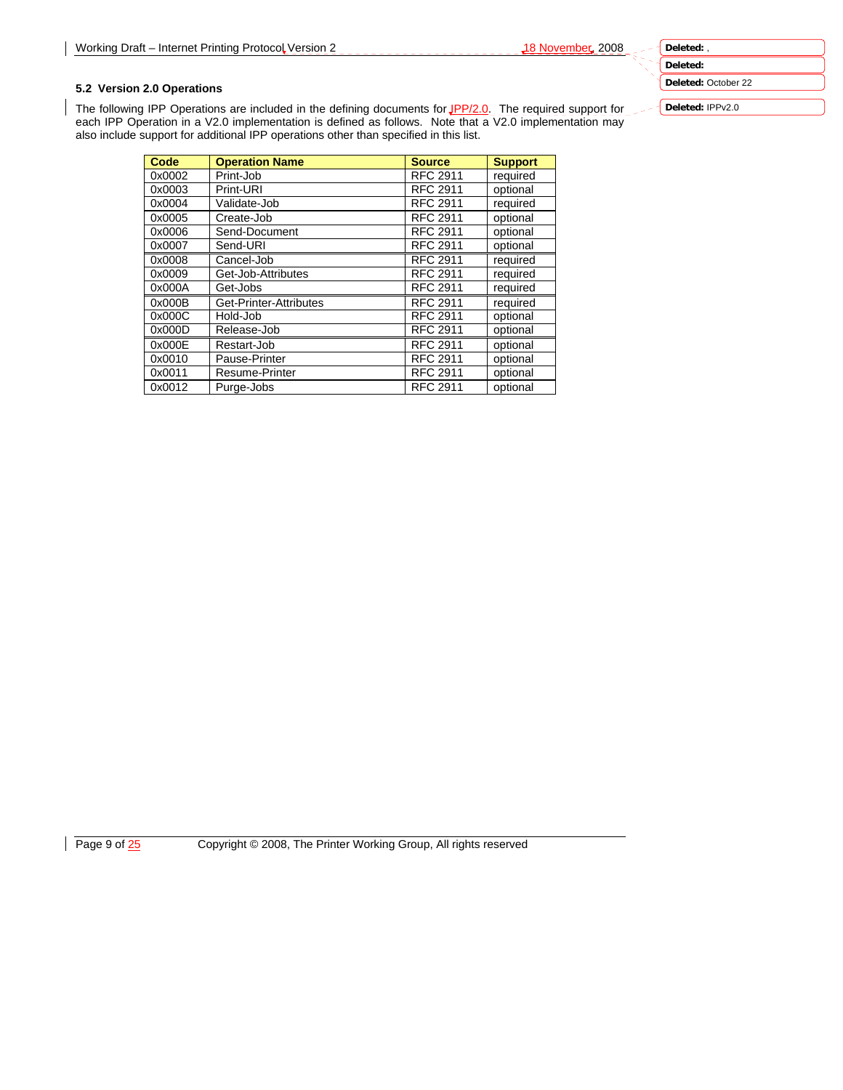**Deleted:** 

**Deleted:** October 22

**Deleted:** IPPv2.0

## **5.2 Version 2.0 Operations**

The following IPP Operations are included in the defining documents for JPP/2.0. The required support for each IPP Operation in a V2.0 implementation is defined as follows. Note that a V2.0 implementation may also include support for additional IPP operations other than specified in this list.

| Code   | <b>Operation Name</b>  | <b>Source</b>   | <b>Support</b> |
|--------|------------------------|-----------------|----------------|
| 0x0002 | Print-Job              | <b>RFC 2911</b> | required       |
| 0x0003 | Print-URI              | <b>RFC 2911</b> | optional       |
| 0x0004 | Validate-Job           | <b>RFC 2911</b> | required       |
| 0x0005 | Create-Job             | <b>RFC 2911</b> | optional       |
| 0x0006 | Send-Document          | <b>RFC 2911</b> | optional       |
| 0x0007 | Send-URI               | <b>RFC 2911</b> | optional       |
| 0x0008 | Cancel-Job             | <b>RFC 2911</b> | required       |
| 0x0009 | Get-Job-Attributes     | <b>RFC 2911</b> | required       |
| 0x000A | Get-Jobs               | <b>RFC 2911</b> | required       |
| 0x000B | Get-Printer-Attributes | <b>RFC 2911</b> | required       |
| 0x000C | Hold-Job               | <b>RFC 2911</b> | optional       |
| 0x000D | Release-Job            | <b>RFC 2911</b> | optional       |
| 0x000E | Restart-Job            | <b>RFC 2911</b> | optional       |
| 0x0010 | Pause-Printer          | <b>RFC 2911</b> | optional       |
| 0x0011 | Resume-Printer         | <b>RFC 2911</b> | optional       |
| 0x0012 | Purge-Jobs             | <b>RFC 2911</b> | optional       |

Page 9 of 25 Copyright © 2008, The Printer Working Group, All rights reserved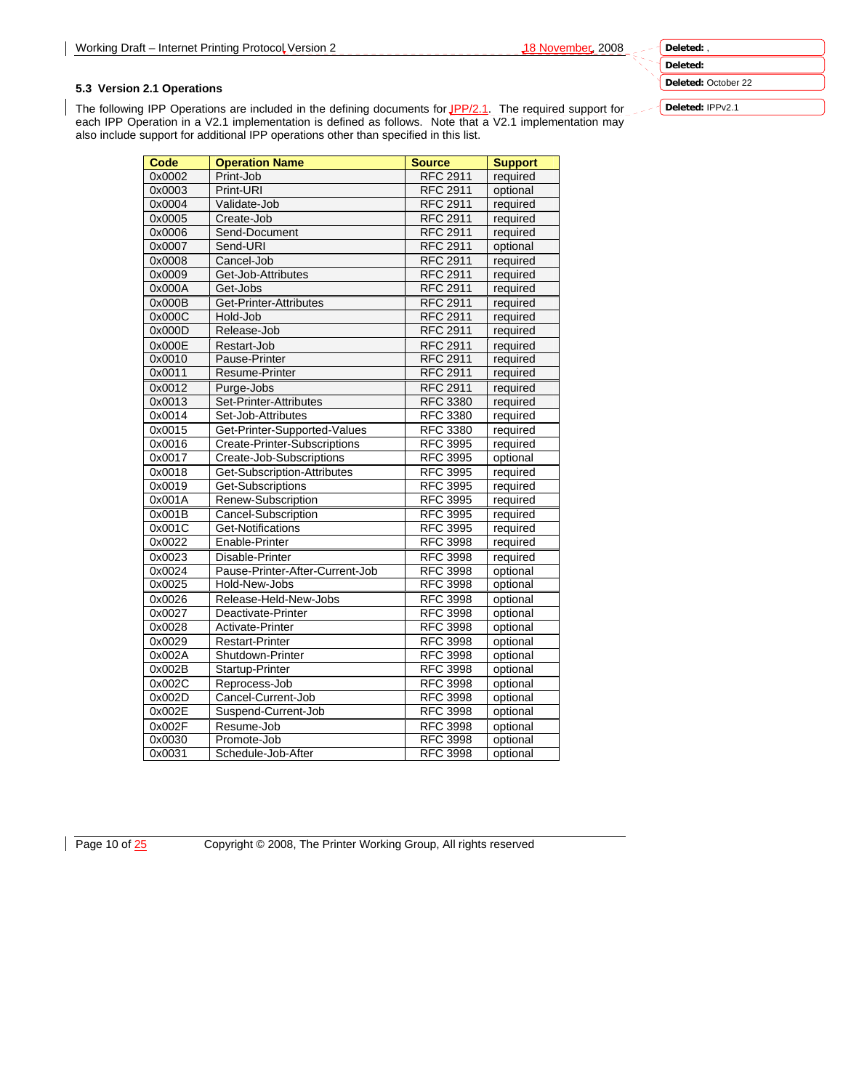**Deleted: Deleted:** October 22

## **5.3 Version 2.1 Operations**

The following IPP Operations are included in the defining documents for JPP/2.1. The required support for each IPP Operation in a V2.1 implementation is defined as follows. Note that a V2.1 implementation may also include support for additional IPP operations other than specified in this list.

| Code   | <b>Operation Name</b>           | <b>Source</b>   | <b>Support</b> |
|--------|---------------------------------|-----------------|----------------|
| 0x0002 | Print-Job                       | <b>RFC 2911</b> | required       |
| 0x0003 | Print-URI                       | <b>RFC 2911</b> | optional       |
| 0x0004 | Validate-Job                    | <b>RFC 2911</b> | required       |
| 0x0005 | Create-Job                      | <b>RFC 2911</b> | required       |
| 0x0006 | Send-Document                   | <b>RFC 2911</b> | required       |
| 0x0007 | Send-URI                        | <b>RFC 2911</b> | optional       |
| 0x0008 | Cancel-Job                      | <b>RFC 2911</b> | required       |
| 0x0009 | Get-Job-Attributes              | <b>RFC 2911</b> | required       |
| 0x000A | Get-Jobs                        | <b>RFC 2911</b> | required       |
| 0x000B | Get-Printer-Attributes          | <b>RFC 2911</b> | required       |
| 0x000C | Hold-Job                        | <b>RFC 2911</b> | required       |
| 0x000D | Release-Job                     | <b>RFC 2911</b> | required       |
| 0x000E | Restart-Job                     | <b>RFC 2911</b> | required       |
| 0x0010 | Pause-Printer                   | <b>RFC 2911</b> | required       |
| 0x0011 | Resume-Printer                  | <b>RFC 2911</b> | required       |
| 0x0012 | Purge-Jobs                      | <b>RFC 2911</b> | required       |
| 0x0013 | Set-Printer-Attributes          | <b>RFC 3380</b> | required       |
| 0x0014 | Set-Job-Attributes              | <b>RFC 3380</b> | required       |
| 0x0015 | Get-Printer-Supported-Values    | <b>RFC 3380</b> | required       |
| 0x0016 | Create-Printer-Subscriptions    | <b>RFC 3995</b> | required       |
| 0x0017 | Create-Job-Subscriptions        | <b>RFC 3995</b> | optional       |
| 0x0018 | Get-Subscription-Attributes     | <b>RFC 3995</b> | required       |
| 0x0019 | Get-Subscriptions               | <b>RFC 3995</b> | required       |
| 0x001A | Renew-Subscription              | <b>RFC 3995</b> | required       |
| 0x001B | Cancel-Subscription             | <b>RFC 3995</b> | required       |
| 0x001C | Get-Notifications               | <b>RFC 3995</b> | required       |
| 0x0022 | Enable-Printer                  | <b>RFC 3998</b> | required       |
| 0x0023 | Disable-Printer                 | <b>RFC 3998</b> | required       |
| 0x0024 | Pause-Printer-After-Current-Job | <b>RFC 3998</b> | optional       |
| 0x0025 | Hold-New-Jobs                   | <b>RFC 3998</b> | optional       |
| 0x0026 | Release-Held-New-Jobs           | <b>RFC 3998</b> | optional       |
| 0x0027 | Deactivate-Printer              | <b>RFC 3998</b> | optional       |
| 0x0028 | Activate-Printer                | <b>RFC 3998</b> | optional       |
| 0x0029 | <b>Restart-Printer</b>          | <b>RFC 3998</b> | optional       |
| 0x002A | Shutdown-Printer                | <b>RFC 3998</b> | optional       |
| 0x002B | Startup-Printer                 | <b>RFC 3998</b> | optional       |
| 0x002C | Reprocess-Job                   | <b>RFC 3998</b> | optional       |
| 0x002D | Cancel-Current-Job              | <b>RFC 3998</b> | optional       |
| 0x002E | Suspend-Current-Job             | <b>RFC 3998</b> | optional       |
| 0x002F | Resume-Job                      | <b>RFC 3998</b> | optional       |
| 0x0030 | Promote-Job                     | <b>RFC 3998</b> | optional       |
| 0x0031 | Schedule-Job-After              | <b>RFC 3998</b> | optional       |

**Deleted:** IPPv2.1

Page 10 of  $\frac{25}{25}$  Copyright © 2008, The Printer Working Group, All rights reserved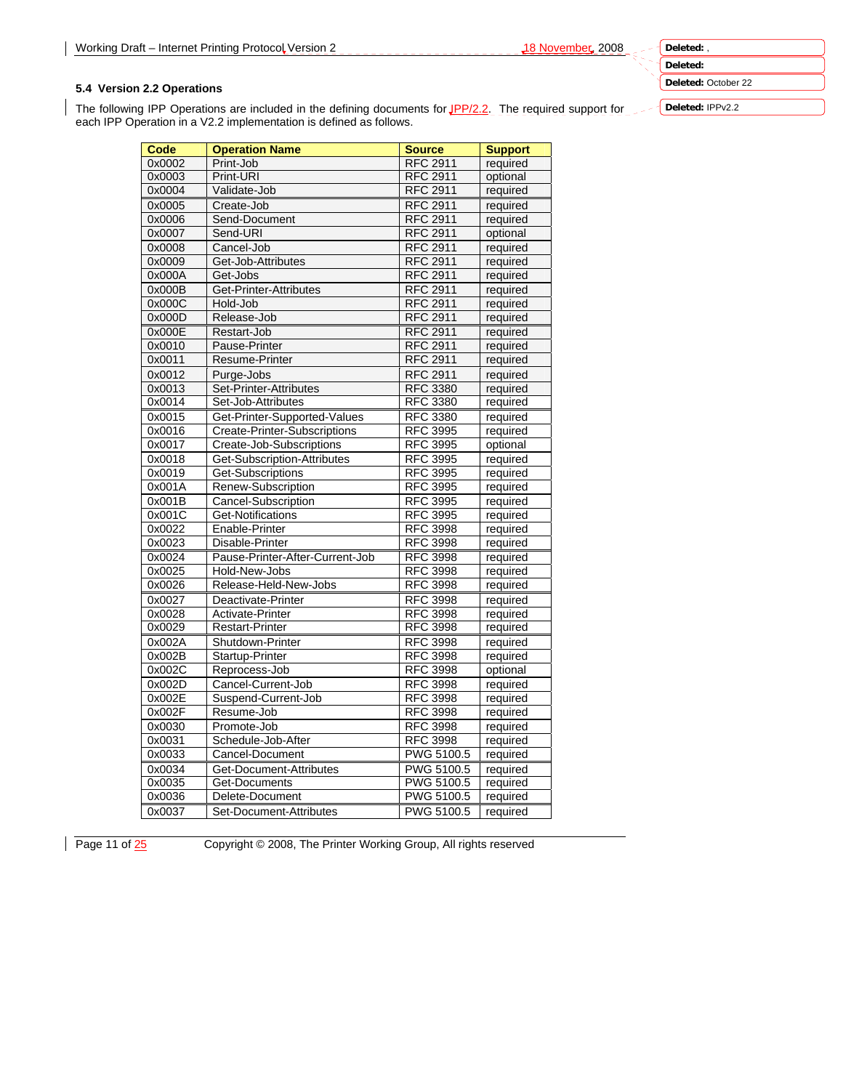**Deleted:** October 22

## **5.4 Version 2.2 Operations**

The following IPP Operations are included in the defining documents for JPP/2.2. The required support for each IPP Operation in a V2.2 implementation is defined as follows.

| Code   | <b>Operation Name</b>           | <b>Source</b>     | <b>Support</b> |
|--------|---------------------------------|-------------------|----------------|
| 0x0002 | Print-Job                       | <b>RFC 2911</b>   | required       |
| 0x0003 | Print-URI                       | <b>RFC 2911</b>   | optional       |
| 0x0004 | Validate-Job                    | <b>RFC 2911</b>   | required       |
| 0x0005 | Create-Job                      | <b>RFC 2911</b>   | required       |
| 0x0006 | Send-Document                   | <b>RFC 2911</b>   | required       |
| 0x0007 | Send-URI                        | <b>RFC 2911</b>   | optional       |
| 0x0008 | Cancel-Job                      | <b>RFC 2911</b>   | required       |
| 0x0009 | Get-Job-Attributes              | <b>RFC 2911</b>   | required       |
| 0x000A | Get-Jobs                        | <b>RFC 2911</b>   | required       |
| 0x000B | Get-Printer-Attributes          | <b>RFC 2911</b>   | required       |
| 0x000C | Hold-Job                        | <b>RFC 2911</b>   | required       |
| 0x000D | Release-Job                     | <b>RFC 2911</b>   | required       |
| 0x000E | Restart-Job                     | <b>RFC 2911</b>   | required       |
| 0x0010 | Pause-Printer                   | <b>RFC 2911</b>   | required       |
| 0x0011 | Resume-Printer                  | <b>RFC 2911</b>   | required       |
| 0x0012 | Purge-Jobs                      | <b>RFC 2911</b>   | required       |
| 0x0013 | Set-Printer-Attributes          | <b>RFC 3380</b>   | required       |
| 0x0014 | Set-Job-Attributes              | <b>RFC 3380</b>   | required       |
| 0x0015 | Get-Printer-Supported-Values    | <b>RFC 3380</b>   | required       |
| 0x0016 | Create-Printer-Subscriptions    | <b>RFC 3995</b>   | required       |
| 0x0017 | Create-Job-Subscriptions        | <b>RFC 3995</b>   | optional       |
| 0x0018 | Get-Subscription-Attributes     | <b>RFC 3995</b>   | required       |
| 0x0019 | Get-Subscriptions               | <b>RFC 3995</b>   | required       |
| 0x001A | Renew-Subscription              | <b>RFC 3995</b>   | required       |
| 0x001B | Cancel-Subscription             | <b>RFC 3995</b>   | required       |
| 0x001C | Get-Notifications               | <b>RFC 3995</b>   | required       |
| 0x0022 | Enable-Printer                  | <b>RFC 3998</b>   | required       |
| 0x0023 | Disable-Printer                 | <b>RFC 3998</b>   | required       |
| 0x0024 | Pause-Printer-After-Current-Job | <b>RFC 3998</b>   | required       |
| 0x0025 | Hold-New-Jobs                   | <b>RFC 3998</b>   | required       |
| 0x0026 | Release-Held-New-Jobs           | <b>RFC 3998</b>   | required       |
| 0x0027 | Deactivate-Printer              | <b>RFC 3998</b>   | required       |
| 0x0028 | Activate-Printer                | <b>RFC 3998</b>   | required       |
| 0x0029 | <b>Restart-Printer</b>          | <b>RFC 3998</b>   | required       |
| 0x002A | Shutdown-Printer                | <b>RFC 3998</b>   | required       |
| 0x002B | Startup-Printer                 | <b>RFC 3998</b>   | required       |
| 0x002C | Reprocess-Job                   | <b>RFC 3998</b>   | optional       |
| 0x002D | Cancel-Current-Job              | <b>RFC 3998</b>   | required       |
| 0x002E | Suspend-Current-Job             | <b>RFC 3998</b>   | required       |
| 0x002F | Resume-Job                      | <b>RFC 3998</b>   | required       |
| 0x0030 | Promote-Job                     | <b>RFC 3998</b>   | required       |
| 0x0031 | Schedule-Job-After              | <b>RFC 3998</b>   | required       |
| 0x0033 | Cancel-Document                 | PWG 5100.5        | required       |
| 0x0034 | Get-Document-Attributes         | <b>PWG 5100.5</b> | required       |
| 0x0035 | Get-Documents                   | <b>PWG 5100.5</b> | required       |
| 0x0036 | Delete-Document                 | <b>PWG 5100.5</b> | required       |
| 0x0037 | Set-Document-Attributes         | PWG 5100.5        | required       |

Page 11 of  $\frac{25}{25}$  Copyright © 2008, The Printer Working Group, All rights reserved

**Deleted:** 

**Deleted:** IPPv2.2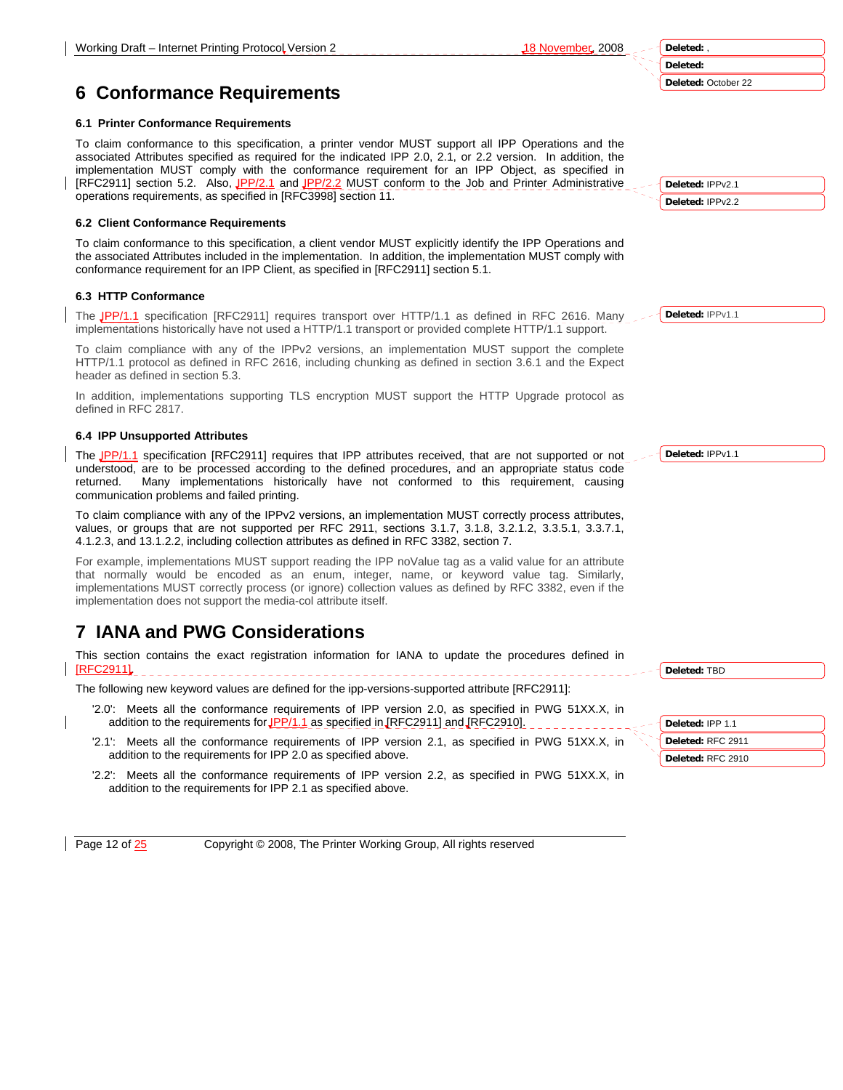**Deleted:** , **Deleted: Deleted:** October 22

# **6 Conformance Requirements**

## **6.1 Printer Conformance Requirements**

To claim conformance to this specification, a printer vendor MUST support all IPP Operations and the associated Attributes specified as required for the indicated IPP 2.0, 2.1, or 2.2 version. In addition, the implementation MUST comply with the conformance requirement for an IPP Object, as specified in [RFC2911] section 5.2. Also, JPP/2.1 and JPP/2.2 MUST conform to the Job and Printer Administrative operations requirements, as specified in [RFC3998] section 11.

# **6.2 Client Conformance Requirements**

To claim conformance to this specification, a client vendor MUST explicitly identify the IPP Operations and the associated Attributes included in the implementation. In addition, the implementation MUST comply with conformance requirement for an IPP Client, as specified in [RFC2911] section 5.1.

# **6.3 HTTP Conformance**

The IPP/1.1 specification [RFC2911] requires transport over HTTP/1.1 as defined in RFC 2616. Many implementations historically have not used a HTTP/1.1 transport or provided complete HTTP/1.1 support.

To claim compliance with any of the IPPv2 versions, an implementation MUST support the complete HTTP/1.1 protocol as defined in RFC 2616, including chunking as defined in section 3.6.1 and the Expect header as defined in section 5.3.

In addition, implementations supporting TLS encryption MUST support the HTTP Upgrade protocol as defined in RFC 2817.

# **6.4 IPP Unsupported Attributes**

The JPP/1.1 specification [RFC2911] requires that IPP attributes received, that are not supported or not understood, are to be processed according to the defined procedures, and an appropriate status code returned. Many implementations historically have not conformed to this requirement, causing communication problems and failed printing.

To claim compliance with any of the IPPv2 versions, an implementation MUST correctly process attributes, values, or groups that are not supported per RFC 2911, sections 3.1.7, 3.1.8, 3.2.1.2, 3.3.5.1, 3.3.7.1, 4.1.2.3, and 13.1.2.2, including collection attributes as defined in RFC 3382, section 7.

For example, implementations MUST support reading the IPP noValue tag as a valid value for an attribute that normally would be encoded as an enum, integer, name, or keyword value tag. Similarly, implementations MUST correctly process (or ignore) collection values as defined by RFC 3382, even if the implementation does not support the media-col attribute itself.

# **7 IANA and PWG Considerations**

This section contains the exact registration information for IANA to update the procedures defined in [RFC2911].

The following new keyword values are defined for the ipp-versions-supported attribute [RFC2911]:

- '2.0': Meets all the conformance requirements of IPP version 2.0, as specified in PWG 51XX.X, in addition to the requirements for  $JPP/1.1$  as specified in  $JRFC2911]$  and  $JRFC2910]$ .
- '2.1': Meets all the conformance requirements of IPP version 2.1, as specified in PWG 51XX.X, in addition to the requirements for IPP 2.0 as specified above.
- '2.2': Meets all the conformance requirements of IPP version 2.2, as specified in PWG 51XX.X, in addition to the requirements for IPP 2.1 as specified above.

Page 12 of  $\frac{25}{25}$  Copyright © 2008, The Printer Working Group, All rights reserved

**Deleted:** IPPv2.1 **Deleted:** IPPv2.2

**Deleted:** IPPv1.1

**Deleted:** IPPv1.1

**Deleted:** TBD

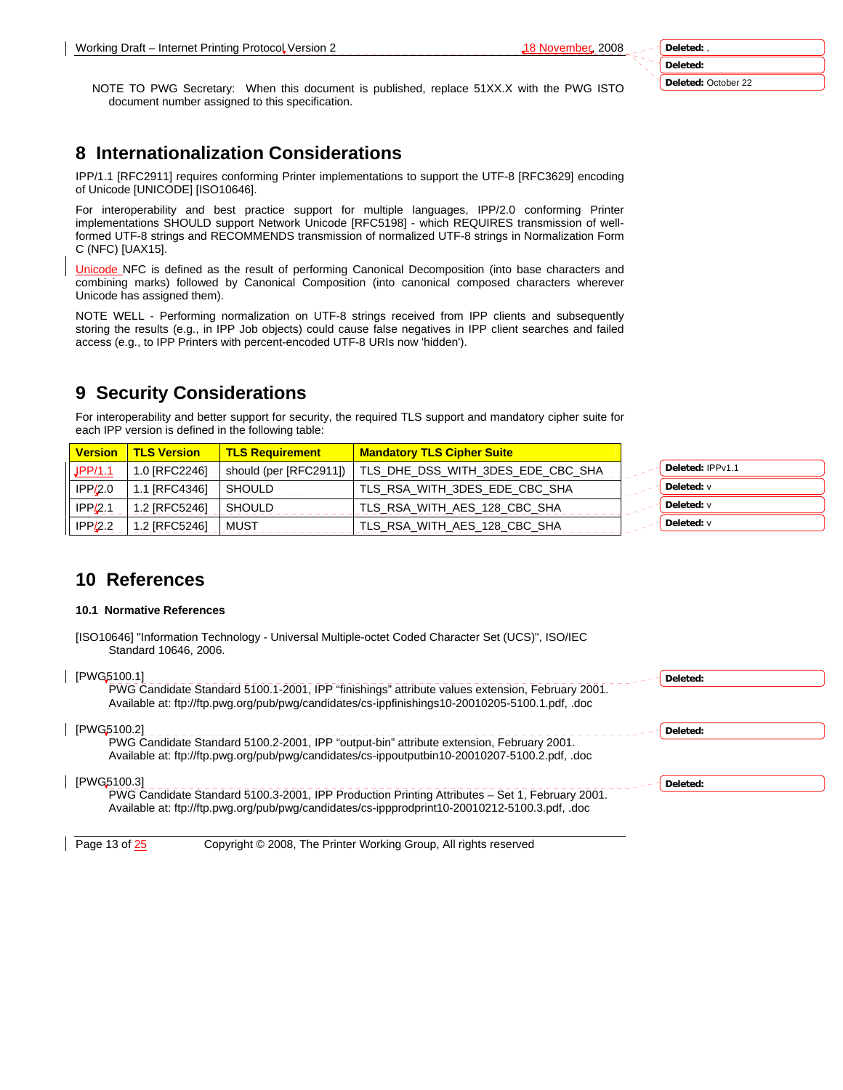**Deleted:** October 22

NOTE TO PWG Secretary: When this document is published, replace 51XX.X with the PWG ISTO document number assigned to this specification.

# **8 Internationalization Considerations**

IPP/1.1 [RFC2911] requires conforming Printer implementations to support the UTF-8 [RFC3629] encoding of Unicode [UNICODE] [ISO10646].

For interoperability and best practice support for multiple languages, IPP/2.0 conforming Printer implementations SHOULD support Network Unicode [RFC5198] - which REQUIRES transmission of wellformed UTF-8 strings and RECOMMENDS transmission of normalized UTF-8 strings in Normalization Form C (NFC) [UAX15].

Unicode NFC is defined as the result of performing Canonical Decomposition (into base characters and combining marks) followed by Canonical Composition (into canonical composed characters wherever Unicode has assigned them).

NOTE WELL - Performing normalization on UTF-8 strings received from IPP clients and subsequently storing the results (e.g., in IPP Job objects) could cause false negatives in IPP client searches and failed access (e.g., to IPP Printers with percent-encoded UTF-8 URIs now 'hidden').

# **9 Security Considerations**

For interoperability and better support for security, the required TLS support and mandatory cipher suite for each IPP version is defined in the following table:

| <b>Version</b> | <b>TLS Version</b>   | <mark>∥ TLS Requirement /</mark> | <b>Mandatory TLS Cipher Suite</b> |                  |
|----------------|----------------------|----------------------------------|-----------------------------------|------------------|
| JPP/1.1        | 1.0 IRFC22461        | should (per [RFC2911])           | TLS DHE DSS WITH 3DES EDE CBC SHA | Deleted: IPPv1.1 |
| IPP/2.0        | 1.1 <b>IRFC43461</b> | SHOULD                           | TLS RSA WITH 3DES EDE CBC SHA     | Deleted: v       |
| IPP/2.1        | 1.2 IRFC52461        | SHOULD                           | TLS RSA WITH AES 128 CBC SHA      | Deleted: v       |
| IPP/2.2        | 1.2 IRFC52461        | MUST                             | TLS RSA WITH AES 128 CBC SHA      | Deleted: v       |

# **10 References**

#### **10.1 Normative References**

[ISO10646] "Information Technology - Universal Multiple-octet Coded Character Set (UCS)", ISO/IEC Standard 10646, 2006.

| [PWG5100.1]<br>PWG Candidate Standard 5100.1-2001, IPP "finishings" attribute values extension, February 2001.<br>Available at: ftp://ftp.pwg.org/pub/pwg/candidates/cs-ippfinishings10-20010205-5100.1.pdf, .doc | Deleted: |
|-------------------------------------------------------------------------------------------------------------------------------------------------------------------------------------------------------------------|----------|
| [PWG5100.2]<br>PWG Candidate Standard 5100.2-2001, IPP "output-bin" attribute extension, February 2001.<br>Available at: ftp://ftp.pwg.org/pub/pwg/candidates/cs-ippoutputbin10-20010207-5100.2.pdf, .doc         | Deleted: |
| [PWG5100.3]<br>PWG Candidate Standard 5100.3-2001, IPP Production Printing Attributes - Set 1, February 2001.<br>Available at: ftp://ftp.pwg.org/pub/pwg/candidates/cs-ippprodprint10-20010212-5100.3.pdf, .doc   | Deleted: |

Page 13 of  $\frac{25}{25}$  Copyright © 2008, The Printer Working Group, All rights reserved

**Deleted:**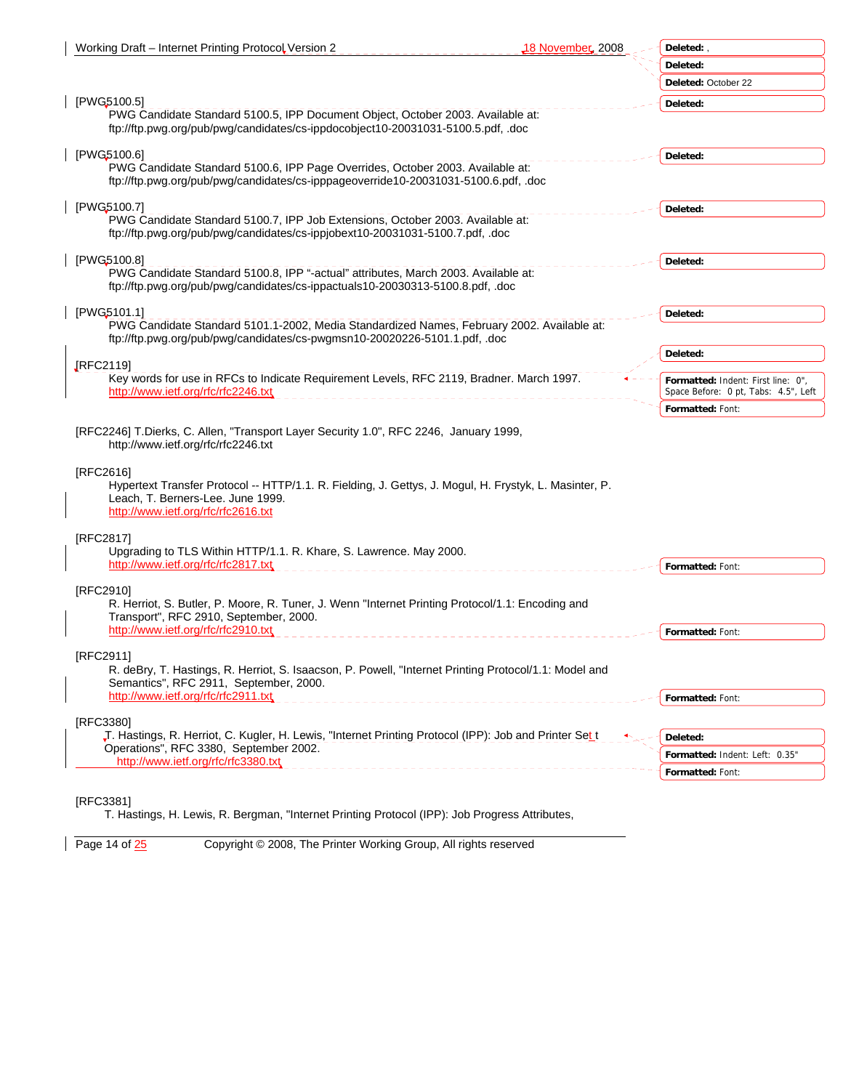| Working Draft - Internet Printing Protocol Version 2                                                                                                                                            | 18 November, 2008 | Deleted:,                                                                  |
|-------------------------------------------------------------------------------------------------------------------------------------------------------------------------------------------------|-------------------|----------------------------------------------------------------------------|
|                                                                                                                                                                                                 |                   | Deleted:                                                                   |
|                                                                                                                                                                                                 |                   | Deleted: October 22                                                        |
| [PWG5100.5]<br>PWG Candidate Standard 5100.5, IPP Document Object, October 2003. Available at:<br>ftp://ftp.pwg.org/pub/pwg/candidates/cs-ippdocobject10-20031031-5100.5.pdf, .doc              |                   | Deleted:                                                                   |
| [PWG5100.6]<br>PWG Candidate Standard 5100.6, IPP Page Overrides, October 2003. Available at:<br>ftp://ftp.pwg.org/pub/pwg/candidates/cs-ipppageoverride10-20031031-5100.6.pdf, .doc            |                   | Deleted:                                                                   |
| [PWG5100.7]                                                                                                                                                                                     |                   | Deleted:                                                                   |
| PWG Candidate Standard 5100.7, IPP Job Extensions, October 2003. Available at:<br>ftp://ftp.pwg.org/pub/pwg/candidates/cs-ippjobext10-20031031-5100.7.pdf, .doc                                 |                   |                                                                            |
| [PWG5100.8]                                                                                                                                                                                     |                   | Deleted:                                                                   |
| PWG Candidate Standard 5100.8, IPP "-actual" attributes, March 2003. Available at:<br>ftp://ftp.pwg.org/pub/pwg/candidates/cs-ippactuals10-20030313-5100.8.pdf, .doc                            |                   |                                                                            |
| [PWG5101.1]                                                                                                                                                                                     |                   | Deleted:                                                                   |
| PWG Candidate Standard 5101.1-2002, Media Standardized Names, February 2002. Available at:<br>ftp://ftp.pwg.org/pub/pwg/candidates/cs-pwgmsn10-20020226-5101.1.pdf, .doc                        |                   |                                                                            |
|                                                                                                                                                                                                 |                   | Deleted:                                                                   |
| [RFC2119]<br>Key words for use in RFCs to Indicate Requirement Levels, RFC 2119, Bradner. March 1997.<br>http://www.ietf.org/rfc/rfc2246.txt                                                    |                   | Formatted: Indent: First line: 0",<br>Space Before: 0 pt, Tabs: 4.5", Left |
|                                                                                                                                                                                                 |                   | Formatted: Font:                                                           |
| [RFC2246] T.Dierks, C. Allen, "Transport Layer Security 1.0", RFC 2246, January 1999,<br>http://www.ietf.org/rfc/rfc2246.txt                                                                    |                   |                                                                            |
| [RFC2616]<br>Hypertext Transfer Protocol -- HTTP/1.1. R. Fielding, J. Gettys, J. Mogul, H. Frystyk, L. Masinter, P.<br>Leach, T. Berners-Lee. June 1999.<br>http://www.ietf.org/rfc/rfc2616.txt |                   |                                                                            |
| [RFC2817]                                                                                                                                                                                       |                   |                                                                            |
| Upgrading to TLS Within HTTP/1.1. R. Khare, S. Lawrence. May 2000.                                                                                                                              |                   |                                                                            |
| http://www.ietf.org/rfc/rfc2817.txt                                                                                                                                                             |                   | Formatted: Font:                                                           |
| [RFC2910]<br>R. Herriot, S. Butler, P. Moore, R. Tuner, J. Wenn "Internet Printing Protocol/1.1: Encoding and<br>Transport", RFC 2910, September, 2000.                                         |                   |                                                                            |
| http://www.ietf.org/rfc/rfc2910.txt                                                                                                                                                             |                   | Formatted: Font:                                                           |
| [RFC2911]<br>R. deBry, T. Hastings, R. Herriot, S. Isaacson, P. Powell, "Internet Printing Protocol/1.1: Model and<br>Semantics", RFC 2911, September, 2000.                                    |                   |                                                                            |
| http://www.ietf.org/rfc/rfc2911.txt                                                                                                                                                             |                   | Formatted: Font:                                                           |
| [RFC3380]                                                                                                                                                                                       |                   |                                                                            |
| J. Hastings, R. Herriot, C. Kugler, H. Lewis, "Internet Printing Protocol (IPP): Job and Printer Set t                                                                                          |                   | Deleted:                                                                   |
| Operations", RFC 3380, September 2002.<br>http://www.ietf.org/rfc/rfc3380.txt                                                                                                                   |                   | Formatted: Indent: Left: 0.35"                                             |
|                                                                                                                                                                                                 |                   | Formatted: Font:                                                           |
| $F^{\text{max}}$                                                                                                                                                                                |                   |                                                                            |

[RFC3381]

T. Hastings, H. Lewis, R. Bergman, "Internet Printing Protocol (IPP): Job Progress Attributes,

Page 14 of  $\frac{25}{2}$  Copyright © 2008, The Printer Working Group, All rights reserved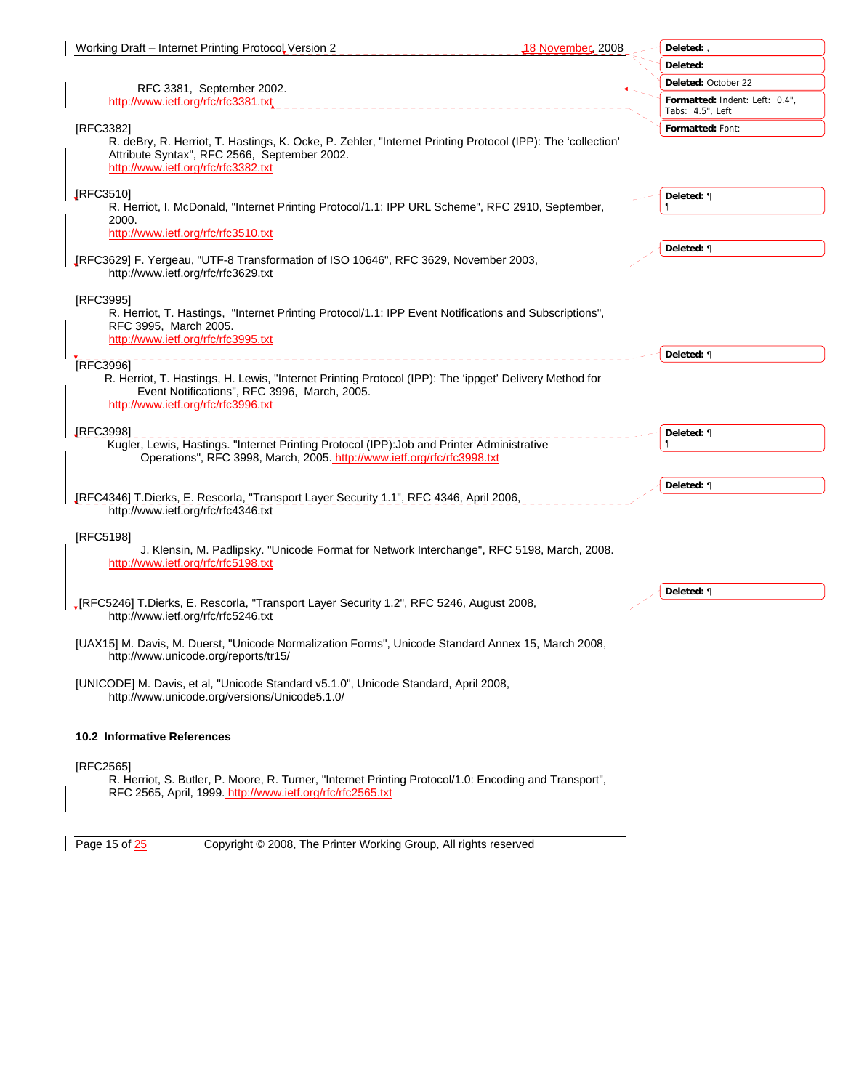| Working Draft - Internet Printing Protocol Version 2                                                                                                                                                       | 18 November 2008<br>Deleted:,                      |
|------------------------------------------------------------------------------------------------------------------------------------------------------------------------------------------------------------|----------------------------------------------------|
|                                                                                                                                                                                                            | Deleted:                                           |
| RFC 3381, September 2002.                                                                                                                                                                                  | Deleted: October 22                                |
| http://www.ietf.org/rfc/rfc3381.txt                                                                                                                                                                        | Formatted: Indent: Left: 0.4",<br>Tabs: 4.5", Left |
| [RFC3382]                                                                                                                                                                                                  | Formatted: Font:                                   |
| R. deBry, R. Herriot, T. Hastings, K. Ocke, P. Zehler, "Internet Printing Protocol (IPP): The 'collection'<br>Attribute Syntax", RFC 2566, September 2002.<br>http://www.ietf.org/rfc/rfc3382.txt          |                                                    |
| <b>IRFC3510]</b><br>R. Herriot, I. McDonald, "Internet Printing Protocol/1.1: IPP URL Scheme", RFC 2910, September,<br>2000.                                                                               | Deleted: ¶                                         |
| http://www.ietf.org/rfc/rfc3510.txt                                                                                                                                                                        |                                                    |
|                                                                                                                                                                                                            | Deleted: ¶                                         |
| JRFC3629] F. Yergeau, "UTF-8 Transformation of ISO 10646", RFC 3629, November 2003,<br>http://www.ietf.org/rfc/rfc3629.txt                                                                                 |                                                    |
| [RFC3995]<br>R. Herriot, T. Hastings, "Internet Printing Protocol/1.1: IPP Event Notifications and Subscriptions",<br>RFC 3995, March 2005.<br>http://www.ietf.org/rfc/rfc3995.txt                         |                                                    |
|                                                                                                                                                                                                            | Deleted: ¶                                         |
| [RFC3996]<br>R. Herriot, T. Hastings, H. Lewis, "Internet Printing Protocol (IPP): The 'ippget' Delivery Method for<br>Event Notifications", RFC 3996, March, 2005.<br>http://www.ietf.org/rfc/rfc3996.txt |                                                    |
| <b>IRFC39981</b><br>Kugler, Lewis, Hastings. "Internet Printing Protocol (IPP): Job and Printer Administrative<br>Operations", RFC 3998, March, 2005. http://www.ietf.org/rfc/rfc3998.txt                  | Deleted: ¶                                         |
| JRFC4346] T.Dierks, E. Rescorla, "Transport Layer Security 1.1", RFC 4346, April 2006,<br>http://www.ietf.org/rfc/rfc4346.txt                                                                              | Deleted: ¶                                         |
| [RFC5198]                                                                                                                                                                                                  |                                                    |
| J. Klensin, M. Padlipsky. "Unicode Format for Network Interchange", RFC 5198, March, 2008.<br>http://www.ietf.org/rfc/rfc5198.txt                                                                          |                                                    |
|                                                                                                                                                                                                            | Deleted: ¶                                         |
| , [RFC5246] T.Dierks, E. Rescorla, "Transport Layer Security 1.2", RFC 5246, August 2008,<br>http://www.ietf.org/rfc/rfc5246.txt                                                                           |                                                    |
| [UAX15] M. Davis, M. Duerst, "Unicode Normalization Forms", Unicode Standard Annex 15, March 2008,<br>http://www.unicode.org/reports/tr15/                                                                 |                                                    |
| [UNICODE] M. Davis, et al, "Unicode Standard v5.1.0", Unicode Standard, April 2008,<br>http://www.unicode.org/versions/Unicode5.1.0/                                                                       |                                                    |
| 10.2 Informative References                                                                                                                                                                                |                                                    |
| [RFC2565]                                                                                                                                                                                                  |                                                    |
| R. Herriot, S. Butler, P. Moore, R. Turner, "Internet Printing Protocol/1.0: Encoding and Transport",<br>RFC 2565, April, 1999. http://www.ietf.org/rfc/rfc2565.txt                                        |                                                    |

Page 15 of  $\frac{25}{2}$  Copyright © 2008, The Printer Working Group, All rights reserved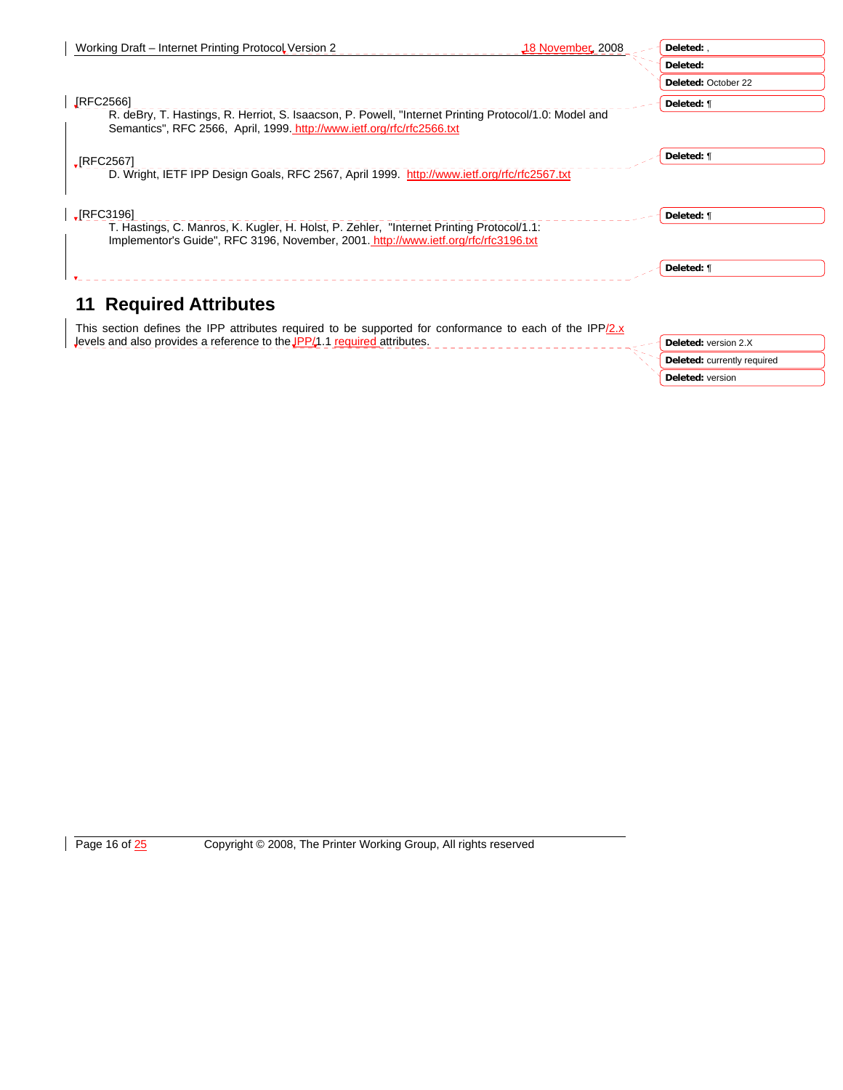| Working Draft – Internet Printing Protocol Version 2<br>$\downarrow$ 18 November, 2008                                                                                          | Deleted:                    |
|---------------------------------------------------------------------------------------------------------------------------------------------------------------------------------|-----------------------------|
|                                                                                                                                                                                 | Deleted:                    |
|                                                                                                                                                                                 | Deleted: October 22         |
| <b>IRFC2566</b> ]                                                                                                                                                               | Deleted: ¶                  |
| R. deBry, T. Hastings, R. Herriot, S. Isaacson, P. Powell, "Internet Printing Protocol/1.0: Model and<br>Semantics", RFC 2566, April, 1999. http://www.ietf.org/rfc/rfc2566.txt |                             |
| $\sqrt{\text{RFC2567}}$                                                                                                                                                         | Deleted: ¶                  |
| D. Wright, IETF IPP Design Goals, RFC 2567, April 1999. http://www.ietf.org/rfc/rfc2567.txt                                                                                     |                             |
| $\sqrt{\text{RFC3196}}$                                                                                                                                                         | Deleted: ¶                  |
| T. Hastings, C. Manros, K. Kugler, H. Holst, P. Zehler, "Internet Printing Protocol/1.1:<br>Implementor's Guide", RFC 3196, November, 2001. http://www.ietf.org/rfc/rfc3196.txt |                             |
|                                                                                                                                                                                 | Deleted: ¶                  |
| <b>11 Required Attributes</b>                                                                                                                                                   |                             |
| This section defines the IPP attributes required to be supported for conformance to each of the IPP/2.x                                                                         |                             |
| Jevels and also provides a reference to the JPP $/1.1$ required attributes.                                                                                                     | Deleted: version 2.X        |
|                                                                                                                                                                                 | Deleted: currently required |

**Deleted:** version

Page 16 of 25 Copyright © 2008, The Printer Working Group, All rights reserved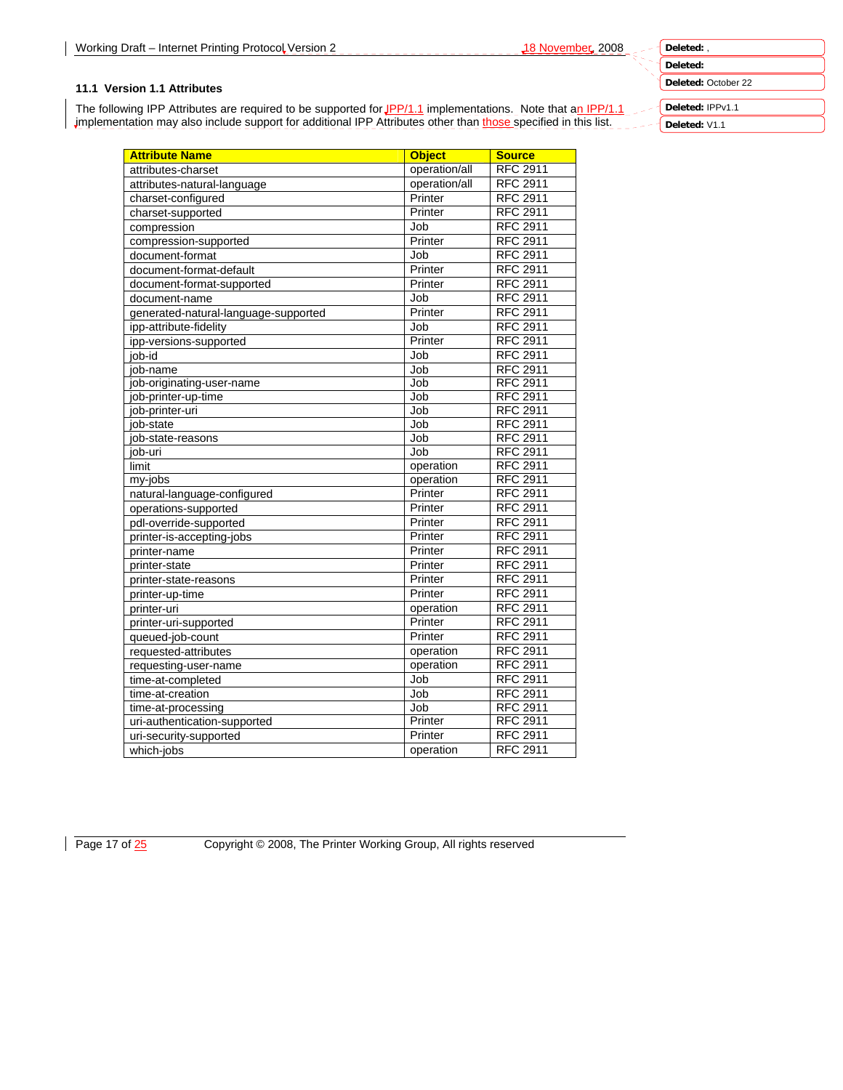## **Deleted: Deleted:** October 22

## **11.1 Version 1.1 Attributes**

The following IPP Attributes are required to be supported for JPP/1.1 implementations. Note that an IPP/1.1 implementation may also include support for additional IPP Attributes other than those specified in this list.

**Deleted:** IPPv1.1 **Deleted:** V1.1

| <b>Attribute Name</b>                | <b>Object</b> | <b>Source</b>   |
|--------------------------------------|---------------|-----------------|
| attributes-charset                   | operation/all | <b>RFC 2911</b> |
| attributes-natural-language          | operation/all | <b>RFC 2911</b> |
| charset-configured                   | Printer       | <b>RFC 2911</b> |
| charset-supported                    | Printer       | <b>RFC 2911</b> |
| compression                          | Job           | <b>RFC 2911</b> |
| compression-supported                | Printer       | <b>RFC 2911</b> |
| document-format                      | Job           | <b>RFC 2911</b> |
| document-format-default              | Printer       | <b>RFC 2911</b> |
| document-format-supported            | Printer       | <b>RFC 2911</b> |
| document-name                        | Job           | <b>RFC 2911</b> |
| generated-natural-language-supported | Printer       | <b>RFC 2911</b> |
| ipp-attribute-fidelity               | Job           | <b>RFC 2911</b> |
| ipp-versions-supported               | Printer       | <b>RFC 2911</b> |
| iob-id                               | Job           | <b>RFC 2911</b> |
| job-name                             | Job           | <b>RFC 2911</b> |
| job-originating-user-name            | Job           | <b>RFC 2911</b> |
| job-printer-up-time                  | Job           | <b>RFC 2911</b> |
| job-printer-uri                      | Job           | <b>RFC 2911</b> |
| iob-state                            | Job           | <b>RFC 2911</b> |
| job-state-reasons                    | Job           | <b>RFC 2911</b> |
| job-uri                              | Job           | <b>RFC 2911</b> |
| limit                                | operation     | <b>RFC 2911</b> |
| my-jobs                              | operation     | <b>RFC 2911</b> |
| natural-language-configured          | Printer       | <b>RFC 2911</b> |
| operations-supported                 | Printer       | <b>RFC 2911</b> |
| pdl-override-supported               | Printer       | <b>RFC 2911</b> |
| printer-is-accepting-jobs            | Printer       | <b>RFC 2911</b> |
| printer-name                         | Printer       | <b>RFC 2911</b> |
| printer-state                        | Printer       | <b>RFC 2911</b> |
| printer-state-reasons                | Printer       | <b>RFC 2911</b> |
| printer-up-time                      | Printer       | <b>RFC 2911</b> |
| printer-uri                          | operation     | <b>RFC 2911</b> |
| printer-uri-supported                | Printer       | <b>RFC 2911</b> |
| queued-job-count                     | Printer       | <b>RFC 2911</b> |
| requested-attributes                 | operation     | <b>RFC 2911</b> |
| requesting-user-name                 | operation     | <b>RFC 2911</b> |
| time-at-completed                    | Job           | <b>RFC 2911</b> |
| time-at-creation                     | Job           | <b>RFC 2911</b> |
| time-at-processing                   | Job           | <b>RFC 2911</b> |
| uri-authentication-supported         | Printer       | <b>RFC 2911</b> |
| uri-security-supported               | Printer       | <b>RFC 2911</b> |
| which-jobs                           | operation     | <b>RFC 2911</b> |
|                                      |               |                 |

Page 17 of  $\frac{25}{2}$  Copyright © 2008, The Printer Working Group, All rights reserved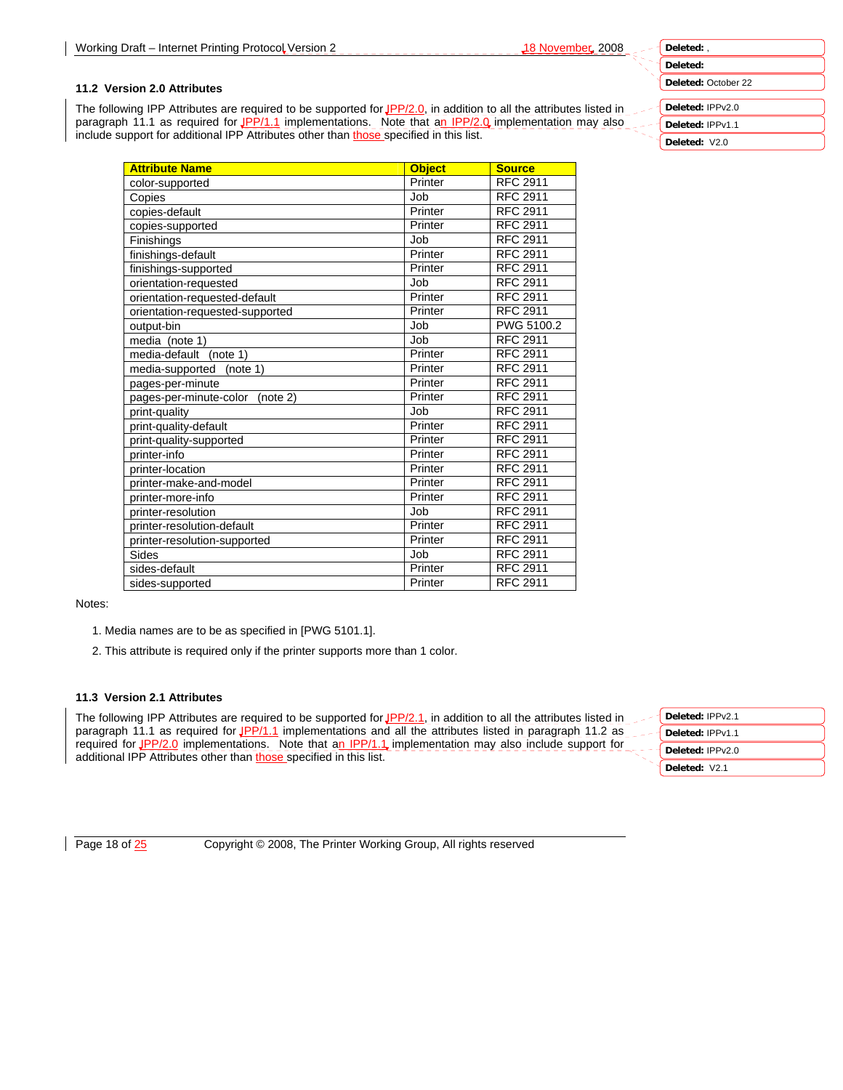**Deleted:** October 22

# **Deleted:** IPPv2.0

**Deleted:** IPPv1.1

**Deleted:** V2.0

#### **11.2 Version 2.0 Attributes**

The following IPP Attributes are required to be supported for JPP/2.0, in addition to all the attributes listed in paragraph 11.1 as required for JPP/1.1 implementations. Note that an IPP/2.0 implementation may also include support for additional IPP Attributes other than those specified in this list.

| <b>Attribute Name</b>              | <b>Object</b> | <b>Source</b>   |
|------------------------------------|---------------|-----------------|
| color-supported                    | Printer       | <b>RFC 2911</b> |
| Copies                             | Job           | <b>RFC 2911</b> |
| copies-default                     | Printer       | <b>RFC 2911</b> |
| copies-supported                   | Printer       | <b>RFC 2911</b> |
| Finishings                         | Job           | <b>RFC 2911</b> |
| finishings-default                 | Printer       | <b>RFC 2911</b> |
| finishings-supported               | Printer       | <b>RFC 2911</b> |
| orientation-requested              | Job           | <b>RFC 2911</b> |
| orientation-requested-default      | Printer       | <b>RFC 2911</b> |
| orientation-requested-supported    | Printer       | <b>RFC 2911</b> |
| output-bin                         | Job           | PWG 5100.2      |
| media (note 1)                     | Job           | <b>RFC 2911</b> |
| media-default (note 1)             | Printer       | <b>RFC 2911</b> |
| media-supported<br>(note 1)        | Printer       | <b>RFC 2911</b> |
| pages-per-minute                   | Printer       | <b>RFC 2911</b> |
| pages-per-minute-color<br>(note 2) | Printer       | <b>RFC 2911</b> |
| print-quality                      | Job           | <b>RFC 2911</b> |
| print-quality-default              | Printer       | <b>RFC 2911</b> |
| print-quality-supported            | Printer       | <b>RFC 2911</b> |
| printer-info                       | Printer       | <b>RFC 2911</b> |
| printer-location                   | Printer       | <b>RFC 2911</b> |
| printer-make-and-model             | Printer       | <b>RFC 2911</b> |
| printer-more-info                  | Printer       | <b>RFC 2911</b> |
| printer-resolution                 | Job           | <b>RFC 2911</b> |
| printer-resolution-default         | Printer       | <b>RFC 2911</b> |
| printer-resolution-supported       | Printer       | <b>RFC 2911</b> |
| Sides                              | Job           | <b>RFC 2911</b> |
| sides-default                      | Printer       | <b>RFC 2911</b> |
| sides-supported                    | Printer       | <b>RFC 2911</b> |

Notes:

- 1. Media names are to be as specified in [PWG 5101.1].
- 2. This attribute is required only if the printer supports more than 1 color.

#### **11.3 Version 2.1 Attributes**

The following IPP Attributes are required to be supported for  $IPP/2.1$ , in addition to all the attributes listed in paragraph 11.1 as required for JPP/1.1 implementations and all the attributes listed in paragraph 11.2 as paragraph 11.1 as required for **an experimentations.** Note that an IPP/1.1 implementation may also include support for additional IPP Attributes other than those specified in this list.

| Deleted: IPPv2.1 |
|------------------|
| Deleted: IPPv1.1 |
| Deleted: IPPv2.0 |
| Deleted: V2.1    |
|                  |

Page 18 of  $\frac{25}{25}$  Copyright © 2008, The Printer Working Group, All rights reserved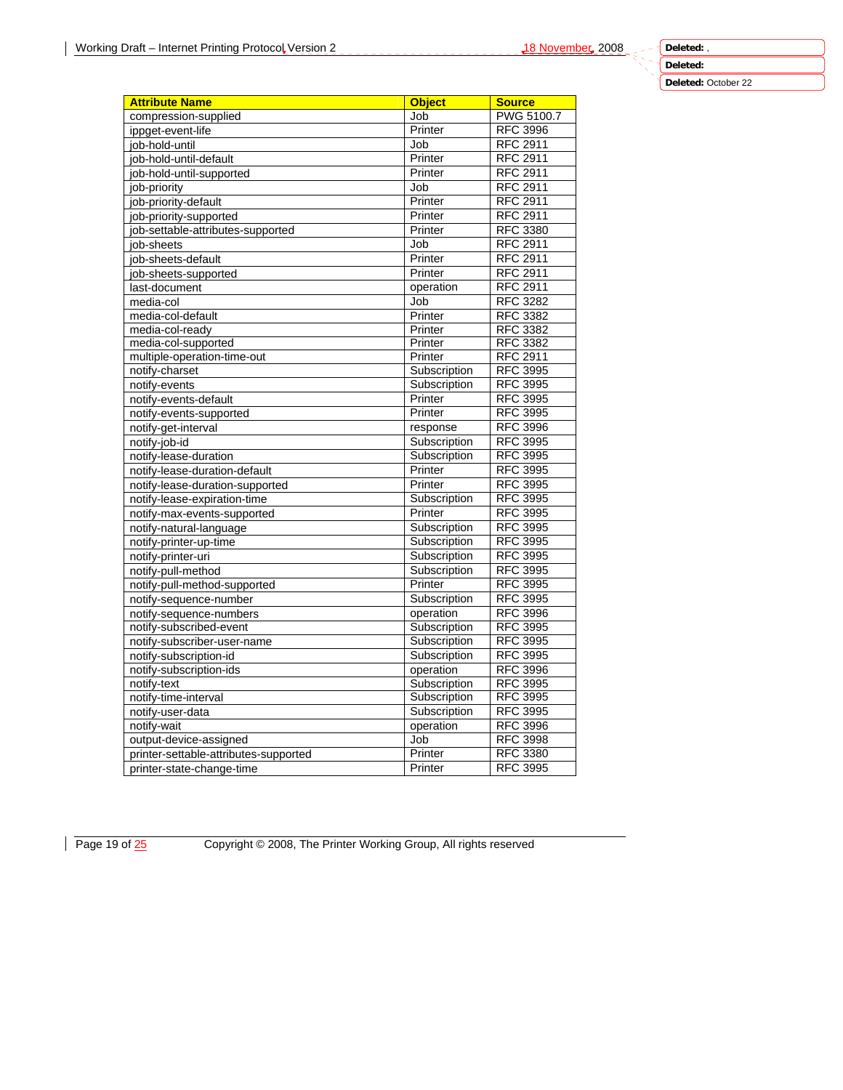**Deleted:** October 22

| <b>Attribute Name</b>                 | <b>Object</b> | <b>Source</b>     |
|---------------------------------------|---------------|-------------------|
| compression-supplied                  | Job           | <b>PWG 5100.7</b> |
| ippget-event-life                     | Printer       | <b>RFC 3996</b>   |
| job-hold-until                        | Job           | <b>RFC 2911</b>   |
| job-hold-until-default                | Printer       | <b>RFC 2911</b>   |
| job-hold-until-supported              | Printer       | <b>RFC 2911</b>   |
| job-priority                          | Job           | <b>RFC 2911</b>   |
| job-priority-default                  | Printer       | <b>RFC 2911</b>   |
| job-priority-supported                | Printer       | <b>RFC 2911</b>   |
| job-settable-attributes-supported     | Printer       | <b>RFC 3380</b>   |
| job-sheets                            | Job           | <b>RFC 2911</b>   |
| job-sheets-default                    | Printer       | <b>RFC 2911</b>   |
| job-sheets-supported                  | Printer       | <b>RFC 2911</b>   |
| last-document                         | operation     | <b>RFC 2911</b>   |
| media-col                             | Job           | <b>RFC 3282</b>   |
| media-col-default                     | Printer       | <b>RFC 3382</b>   |
| media-col-ready                       | Printer       | <b>RFC 3382</b>   |
| media-col-supported                   | Printer       | <b>RFC 3382</b>   |
| multiple-operation-time-out           | Printer       | RFC 2911          |
| notify-charset                        | Subscription  | <b>RFC 3995</b>   |
| notify-events                         | Subscription  | <b>RFC 3995</b>   |
| notify-events-default                 | Printer       | <b>RFC 3995</b>   |
| notify-events-supported               | Printer       | <b>RFC 3995</b>   |
| notify-get-interval                   | response      | <b>RFC 3996</b>   |
| notify-job-id                         | Subscription  | <b>RFC 3995</b>   |
| notify-lease-duration                 | Subscription  | <b>RFC 3995</b>   |
| notify-lease-duration-default         | Printer       | <b>RFC 3995</b>   |
| notify-lease-duration-supported       | Printer       | <b>RFC 3995</b>   |
| notify-lease-expiration-time          | Subscription  | <b>RFC 3995</b>   |
| notify-max-events-supported           | Printer       | <b>RFC 3995</b>   |
| notify-natural-language               | Subscription  | <b>RFC 3995</b>   |
| notify-printer-up-time                | Subscription  | <b>RFC 3995</b>   |
| notify-printer-uri                    | Subscription  | <b>RFC 3995</b>   |
| notify-pull-method                    | Subscription  | <b>RFC 3995</b>   |
| notify-pull-method-supported          | Printer       | <b>RFC 3995</b>   |
| notify-sequence-number                | Subscription  | <b>RFC 3995</b>   |
| notify-sequence-numbers               | operation     | <b>RFC 3996</b>   |
| notify-subscribed-event               | Subscription  | <b>RFC 3995</b>   |
| notify-subscriber-user-name           | Subscription  | <b>RFC 3995</b>   |
| notify-subscription-id                | Subscription  | <b>RFC 3995</b>   |
| notify-subscription-ids               | operation     | <b>RFC 3996</b>   |
| notify-text                           | Subscription  | <b>RFC 3995</b>   |
| notify-time-interval                  | Subscription  | <b>RFC 3995</b>   |
| notify-user-data                      | Subscription  | <b>RFC 3995</b>   |
| notify-wait                           | operation     | <b>RFC 3996</b>   |
| output-device-assigned                | Job           | <b>RFC 3998</b>   |
| printer-settable-attributes-supported | Printer       | <b>RFC 3380</b>   |
| printer-state-change-time             | Printer       | <b>RFC 3995</b>   |
|                                       |               |                   |

Page 19 of  $\frac{25}{2}$  Copyright © 2008, The Printer Working Group, All rights reserved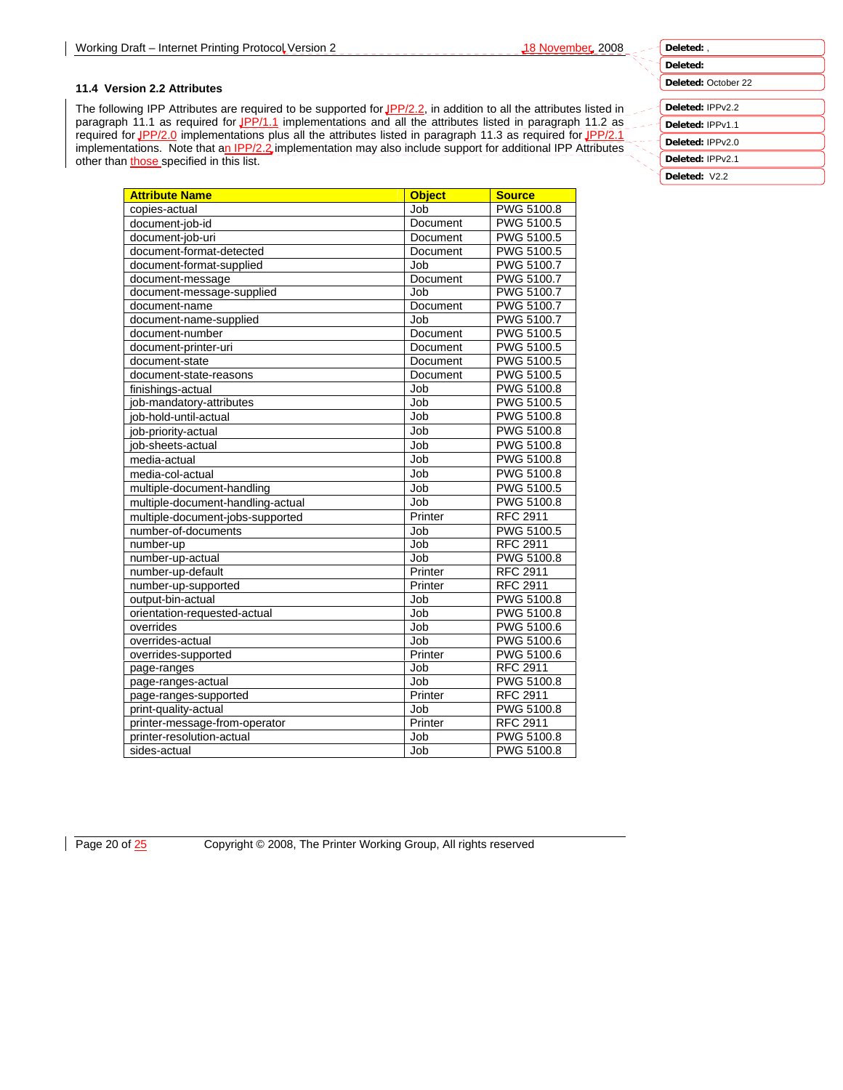#### **11.4 Version 2.2 Attributes**

The following IPP Attributes are required to be supported for JPP/2.2, in addition to all the attributes listed in paragraph 11.1 as required for JPP/1.1 implementations and all the attributes listed in paragraph 11.2 as required for JPP/2.0 implementations plus all the attributes listed in paragraph 11.3 as required for JPP/2.1 implementations. Note that an IPP/2.2 implementation may also include support for additional IPP Attributes other than those specified in this list.

| <b>Attribute Name</b>             | <b>Object</b> | <b>Source</b>     |
|-----------------------------------|---------------|-------------------|
| copies-actual                     | Job           | <b>PWG 5100.8</b> |
| document-iob-id                   | Document      | PWG 5100.5        |
| document-job-uri                  | Document      | PWG 5100.5        |
| document-format-detected          | Document      | <b>PWG 5100.5</b> |
| document-format-supplied          | Job           | PWG 5100.7        |
| document-message                  | Document      | <b>PWG 5100.7</b> |
| document-message-supplied         | Job           | <b>PWG 5100.7</b> |
| document-name                     | Document      | PWG 5100.7        |
| document-name-supplied            | Job           | PWG 5100.7        |
| document-number                   | Document      | PWG 5100.5        |
| document-printer-uri              | Document      | PWG 5100.5        |
| document-state                    | Document      | PWG 5100.5        |
| document-state-reasons            | Document      | PWG 5100.5        |
| finishings-actual                 | Job           | PWG 5100.8        |
| job-mandatory-attributes          | Job           | PWG 5100.5        |
| iob-hold-until-actual             | Job           | <b>PWG 5100.8</b> |
| job-priority-actual               | Job           | PWG 5100.8        |
| job-sheets-actual                 | Job           | PWG 5100.8        |
| media-actual                      | Job           | <b>PWG 5100.8</b> |
| media-col-actual                  | Job           | PWG 5100.8        |
| multiple-document-handling        | Job           | PWG 5100.5        |
| multiple-document-handling-actual | Job           | PWG 5100.8        |
| multiple-document-jobs-supported  | Printer       | <b>RFC 2911</b>   |
| number-of-documents               | Job           | <b>PWG 5100.5</b> |
| number-up                         | Job           | <b>RFC 2911</b>   |
| number-up-actual                  | Job           | PWG 5100.8        |
| number-up-default                 | Printer       | <b>RFC 2911</b>   |
| number-up-supported               | Printer       | <b>RFC 2911</b>   |
| output-bin-actual                 | Job           | PWG 5100.8        |
| orientation-requested-actual      | Job           | PWG 5100.8        |
| overrides                         | Job           | <b>PWG 5100.6</b> |
| overrides-actual                  | Job           | PWG 5100.6        |
| overrides-supported               | Printer       | PWG 5100.6        |
| page-ranges                       | Job           | <b>RFC 2911</b>   |
| page-ranges-actual                | Job           | PWG 5100.8        |
| page-ranges-supported             | Printer       | <b>RFC 2911</b>   |
| print-quality-actual              | Job           | PWG 5100.8        |
| printer-message-from-operator     | Printer       | <b>RFC 2911</b>   |
| printer-resolution-actual         | Job           | <b>PWG 5100.8</b> |
| sides-actual                      | Job           | PWG 5100.8        |

**Deleted: Deleted:** October 22 **Deleted:** IPPv2.2 **Deleted:** IPPv1.1 **Deleted:** IPPv2.0

**Deleted:** IPPv2.1 **Deleted:** V2.2

**Deleted:** ,

Page 20 of 25 Copyright © 2008, The Printer Working Group, All rights reserved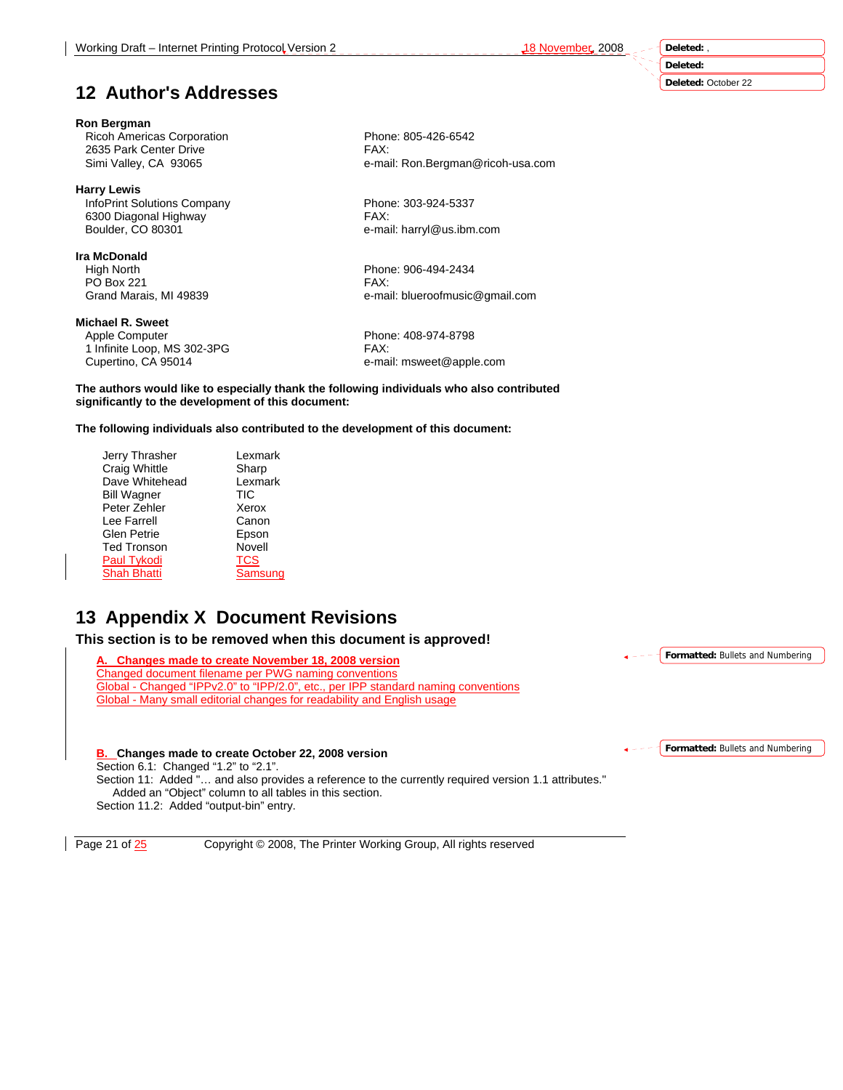**Deleted:** 

# **12 Author's Addresses**

## **Ron Bergman**

Ricoh Americas Corporation<br>
2635 Park Center Drive<br>
2635 Park Center Drive 2635 Park Center Drive

# **Harry Lewis**

InfoPrint Solutions Company Phone: 303-924-5337 6300 Diagonal Highway FAX:<br>Boulder, CO 80301 FAX: e-ma

## **Ira McDonald**

 High North Phone: 906-494-2434 PO Box 221 FAX:<br>Grand Marais, MI 49839 FAX: e-ma

#### **Michael R. Sweet**

Apple Computer **Phone: 408-974-8798** 

1 Infinite Loop, MS 302-3PG FAX: Cupertino, CA 95014 e-mail: msweet@apple.com

**The authors would like to especially thank the following individuals who also contributed significantly to the development of this document:** 

**The following individuals also contributed to the development of this document:** 

| Lexmark    |
|------------|
| Sharp      |
| Lexmark    |
| <b>TIC</b> |
| Xerox      |
| Canon      |
| Epson      |
| Novell     |
| <b>TCS</b> |
| Samsung    |
|            |

# **13 Appendix X Document Revisions**

**This section is to be removed when this document is approved!** 

**A. Changes made to create November 18, 2008 version** Changed document filename per PWG naming conventions Global - Changed "IPPv2.0" to "IPP/2.0", etc., per IPP standard naming conventions Global - Many small editorial changes for readability and English usage

## **B. Changes made to create October 22, 2008 version**

Section 6.1: Changed "1.2" to "2.1".

Section 11: Added "… and also provides a reference to the currently required version 1.1 attributes." Added an "Object" column to all tables in this section. Section 11.2: Added "output-bin" entry.

Page 21 of  $\frac{25}{25}$  Copyright © 2008, The Printer Working Group, All rights reserved

**Formatted:** Bullets and Numbering

**Formatted:** Bullets and Numbering

**Deleted:** October 22

Simi Valley, CA 93065 e-mail: Ron.Bergman@ricoh-usa.com

e-mail: harryl@us.ibm.com

e-mail: blueroofmusic@gmail.com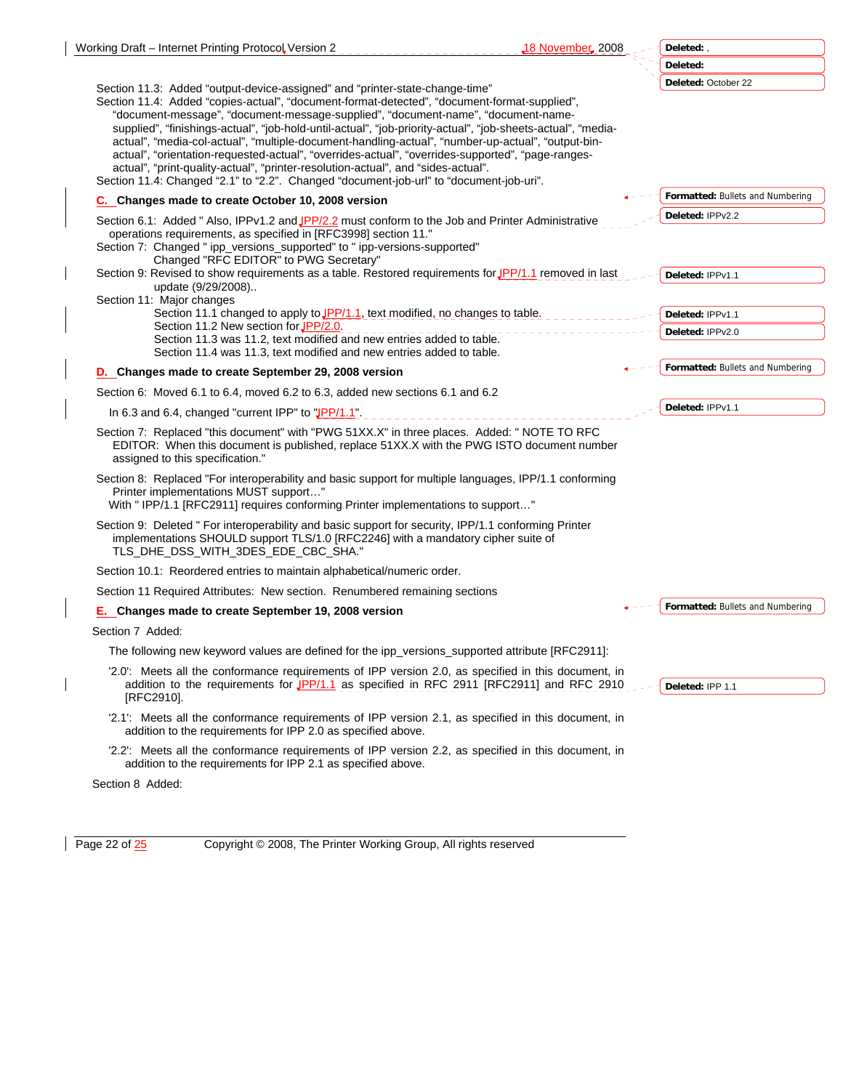| Working Draft - Internet Printing Protocol Version 2                                                                                                                                                                                                                                                                                                                                                                                                                                                                                                                                                                                                                                                                                                                         | 18 Novembe <b>r,</b> 2008.<br>Deleted:, |
|------------------------------------------------------------------------------------------------------------------------------------------------------------------------------------------------------------------------------------------------------------------------------------------------------------------------------------------------------------------------------------------------------------------------------------------------------------------------------------------------------------------------------------------------------------------------------------------------------------------------------------------------------------------------------------------------------------------------------------------------------------------------------|-----------------------------------------|
|                                                                                                                                                                                                                                                                                                                                                                                                                                                                                                                                                                                                                                                                                                                                                                              | Deleted:                                |
| Section 11.3: Added "output-device-assigned" and "printer-state-change-time"<br>Section 11.4: Added "copies-actual", "document-format-detected", "document-format-supplied",<br>"document-message", "document-message-supplied", "document-name", "document-name-<br>supplied", "finishings-actual", "job-hold-until-actual", "job-priority-actual", "job-sheets-actual", "media-<br>actual", "media-col-actual", "multiple-document-handling-actual", "number-up-actual", "output-bin-<br>actual", "orientation-requested-actual", "overrides-actual", "overrides-supported", "page-ranges-<br>actual", "print-quality-actual", "printer-resolution-actual", and "sides-actual".<br>Section 11.4: Changed "2.1" to "2.2". Changed "document-job-url" to "document-job-uri". | Deleted: October 22                     |
| C. Changes made to create October 10, 2008 version                                                                                                                                                                                                                                                                                                                                                                                                                                                                                                                                                                                                                                                                                                                           | Formatted: Bullets and Numbering        |
| Section 6.1: Added " Also, IPPv1.2 and JPP/2.2 must conform to the Job and Printer Administrative<br>operations requirements, as specified in [RFC3998] section 11."<br>Section 7: Changed " ipp_versions_supported" to " ipp-versions-supported"<br>Changed "RFC EDITOR" to PWG Secretary"                                                                                                                                                                                                                                                                                                                                                                                                                                                                                  | Deleted: IPPv2.2                        |
| Section 9: Revised to show requirements as a table. Restored requirements for JPP/1.1 removed in last<br>update (9/29/2008)                                                                                                                                                                                                                                                                                                                                                                                                                                                                                                                                                                                                                                                  | Deleted: IPPv1.1                        |
| Section 11: Major changes                                                                                                                                                                                                                                                                                                                                                                                                                                                                                                                                                                                                                                                                                                                                                    |                                         |
| Section 11.1 changed to apply to JPP/1.1, text modified, no changes to table.                                                                                                                                                                                                                                                                                                                                                                                                                                                                                                                                                                                                                                                                                                | Deleted: IPPv1.1                        |
| Section 11.2 New section for JPP/2.0.<br>Section 11.3 was 11.2, text modified and new entries added to table.<br>Section 11.4 was 11.3, text modified and new entries added to table.                                                                                                                                                                                                                                                                                                                                                                                                                                                                                                                                                                                        | Deleted: IPPv2.0                        |
| D. Changes made to create September 29, 2008 version                                                                                                                                                                                                                                                                                                                                                                                                                                                                                                                                                                                                                                                                                                                         | Formatted: Bullets and Numbering        |
| Section 6: Moved 6.1 to 6.4, moved 6.2 to 6.3, added new sections 6.1 and 6.2                                                                                                                                                                                                                                                                                                                                                                                                                                                                                                                                                                                                                                                                                                |                                         |
| In 6.3 and 6.4, changed "current IPP" to "JPP/1.1".                                                                                                                                                                                                                                                                                                                                                                                                                                                                                                                                                                                                                                                                                                                          | Deleted: IPPv1.1                        |
| Section 7: Replaced "this document" with "PWG 51XX.X" in three places. Added: " NOTE TO RFC<br>EDITOR: When this document is published, replace 51XX.X with the PWG ISTO document number<br>assigned to this specification."                                                                                                                                                                                                                                                                                                                                                                                                                                                                                                                                                 |                                         |
| Section 8: Replaced "For interoperability and basic support for multiple languages, IPP/1.1 conforming<br>Printer implementations MUST support"<br>With " IPP/1.1 [RFC2911] requires conforming Printer implementations to support"                                                                                                                                                                                                                                                                                                                                                                                                                                                                                                                                          |                                         |
| Section 9: Deleted " For interoperability and basic support for security, IPP/1.1 conforming Printer<br>implementations SHOULD support TLS/1.0 [RFC2246] with a mandatory cipher suite of<br>TLS_DHE_DSS_WITH_3DES_EDE_CBC_SHA."                                                                                                                                                                                                                                                                                                                                                                                                                                                                                                                                             |                                         |
| Section 10.1: Reordered entries to maintain alphabetical/numeric order.                                                                                                                                                                                                                                                                                                                                                                                                                                                                                                                                                                                                                                                                                                      |                                         |
| Section 11 Required Attributes: New section. Renumbered remaining sections                                                                                                                                                                                                                                                                                                                                                                                                                                                                                                                                                                                                                                                                                                   |                                         |
| E. Changes made to create September 19, 2008 version                                                                                                                                                                                                                                                                                                                                                                                                                                                                                                                                                                                                                                                                                                                         | Formatted: Bullets and Numbering        |
| Section 7 Added:                                                                                                                                                                                                                                                                                                                                                                                                                                                                                                                                                                                                                                                                                                                                                             |                                         |
| The following new keyword values are defined for the ipp_versions_supported attribute [RFC2911]:                                                                                                                                                                                                                                                                                                                                                                                                                                                                                                                                                                                                                                                                             |                                         |
| '2.0': Meets all the conformance requirements of IPP version 2.0, as specified in this document, in<br>addition to the requirements for $\sqrt{PP/1.1}$ as specified in RFC 2911 [RFC2911] and RFC 2910<br>[RFC2910].                                                                                                                                                                                                                                                                                                                                                                                                                                                                                                                                                        | Deleted: IPP 1.1                        |
| '2.1': Meets all the conformance requirements of IPP version 2.1, as specified in this document, in<br>addition to the requirements for IPP 2.0 as specified above.                                                                                                                                                                                                                                                                                                                                                                                                                                                                                                                                                                                                          |                                         |
| '2.2': Meets all the conformance requirements of IPP version 2.2, as specified in this document, in<br>addition to the requirements for IPP 2.1 as specified above.                                                                                                                                                                                                                                                                                                                                                                                                                                                                                                                                                                                                          |                                         |
| Section 8 Added:                                                                                                                                                                                                                                                                                                                                                                                                                                                                                                                                                                                                                                                                                                                                                             |                                         |

Page 22 of 25 Copyright © 2008, The Printer Working Group, All rights reserved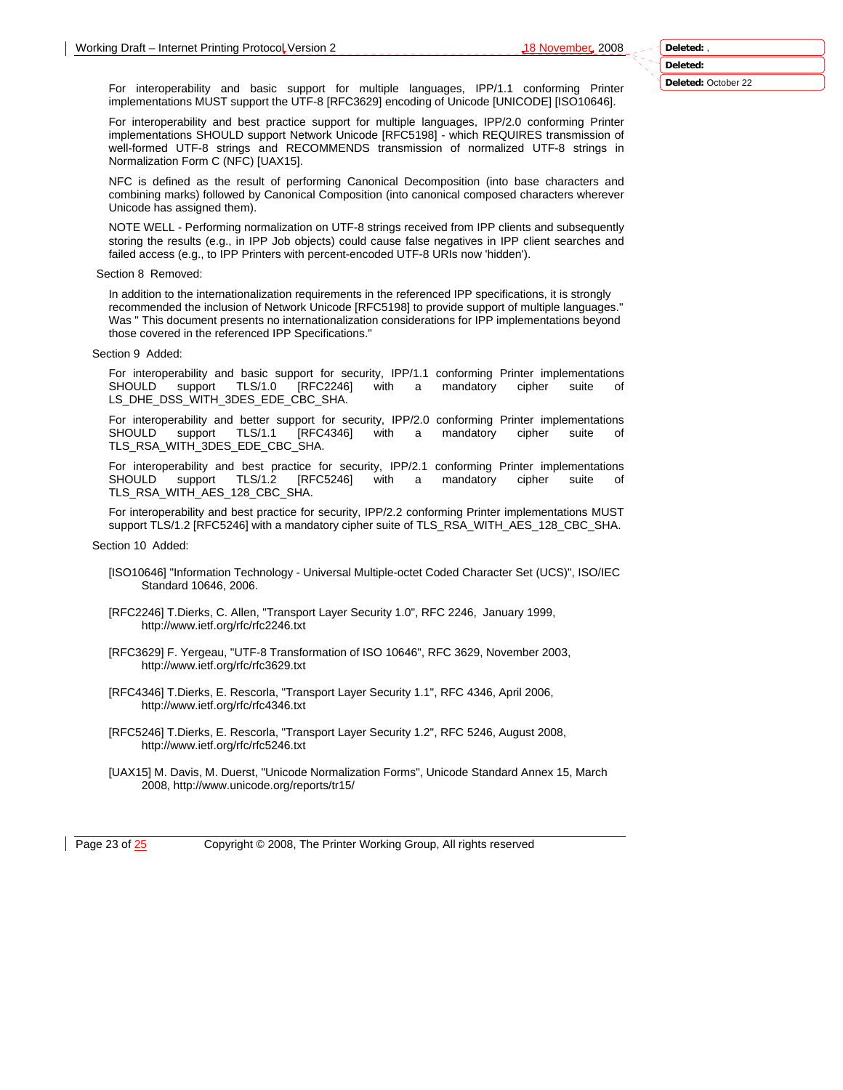For interoperability and basic support for multiple languages, IPP/1.1 conforming Printer implementations MUST support the UTF-8 [RFC3629] encoding of Unicode [UNICODE] [ISO10646].

For interoperability and best practice support for multiple languages, IPP/2.0 conforming Printer implementations SHOULD support Network Unicode [RFC5198] - which REQUIRES transmission of well-formed UTF-8 strings and RECOMMENDS transmission of normalized UTF-8 strings in Normalization Form C (NFC) [UAX15].

NFC is defined as the result of performing Canonical Decomposition (into base characters and combining marks) followed by Canonical Composition (into canonical composed characters wherever Unicode has assigned them).

NOTE WELL - Performing normalization on UTF-8 strings received from IPP clients and subsequently storing the results (e.g., in IPP Job objects) could cause false negatives in IPP client searches and failed access (e.g., to IPP Printers with percent-encoded UTF-8 URIs now 'hidden').

#### Section 8 Removed:

In addition to the internationalization requirements in the referenced IPP specifications, it is strongly recommended the inclusion of Network Unicode [RFC5198] to provide support of multiple languages." Was " This document presents no internationalization considerations for IPP implementations beyond those covered in the referenced IPP Specifications."

#### Section 9 Added:

For interoperability and basic support for security, IPP/1.1 conforming Printer implementations SHOULD support TLS/1.0 [RFC2246] with a mandatory cipher suite of LS\_DHE\_DSS\_WITH\_3DES\_EDE\_CBC\_SHA.

For interoperability and better support for security, IPP/2.0 conforming Printer implementations SHOULD support TLS/1.1 [RFC4346] with a mandatory cipher suite of TLS\_RSA\_WITH\_3DES\_EDE\_CBC\_SHA.

For interoperability and best practice for security, IPP/2.1 conforming Printer implementations SHOULD support TLS/1.2 [RFC5246] with a mandatory cipher suite TLS\_RSA\_WITH\_AES\_128\_CBC\_SHA.

For interoperability and best practice for security, IPP/2.2 conforming Printer implementations MUST support TLS/1.2 [RFC5246] with a mandatory cipher suite of TLS\_RSA\_WITH\_AES\_128\_CBC\_SHA.

#### Section 10 Added:

- [ISO10646] "Information Technology Universal Multiple-octet Coded Character Set (UCS)", ISO/IEC Standard 10646, 2006.
- [RFC2246] T.Dierks, C. Allen, "Transport Layer Security 1.0", RFC 2246, January 1999, http://www.ietf.org/rfc/rfc2246.txt
- [RFC3629] F. Yergeau, "UTF-8 Transformation of ISO 10646", RFC 3629, November 2003, http://www.ietf.org/rfc/rfc3629.txt
- [RFC4346] T.Dierks, E. Rescorla, "Transport Layer Security 1.1", RFC 4346, April 2006, http://www.ietf.org/rfc/rfc4346.txt
- [RFC5246] T.Dierks, E. Rescorla, "Transport Layer Security 1.2", RFC 5246, August 2008, http://www.ietf.org/rfc/rfc5246.txt
- [UAX15] M. Davis, M. Duerst, "Unicode Normalization Forms", Unicode Standard Annex 15, March 2008, http://www.unicode.org/reports/tr15/

Page 23 of  $\frac{25}{25}$  Copyright © 2008, The Printer Working Group, All rights reserved

**Deleted: Deleted:** October 22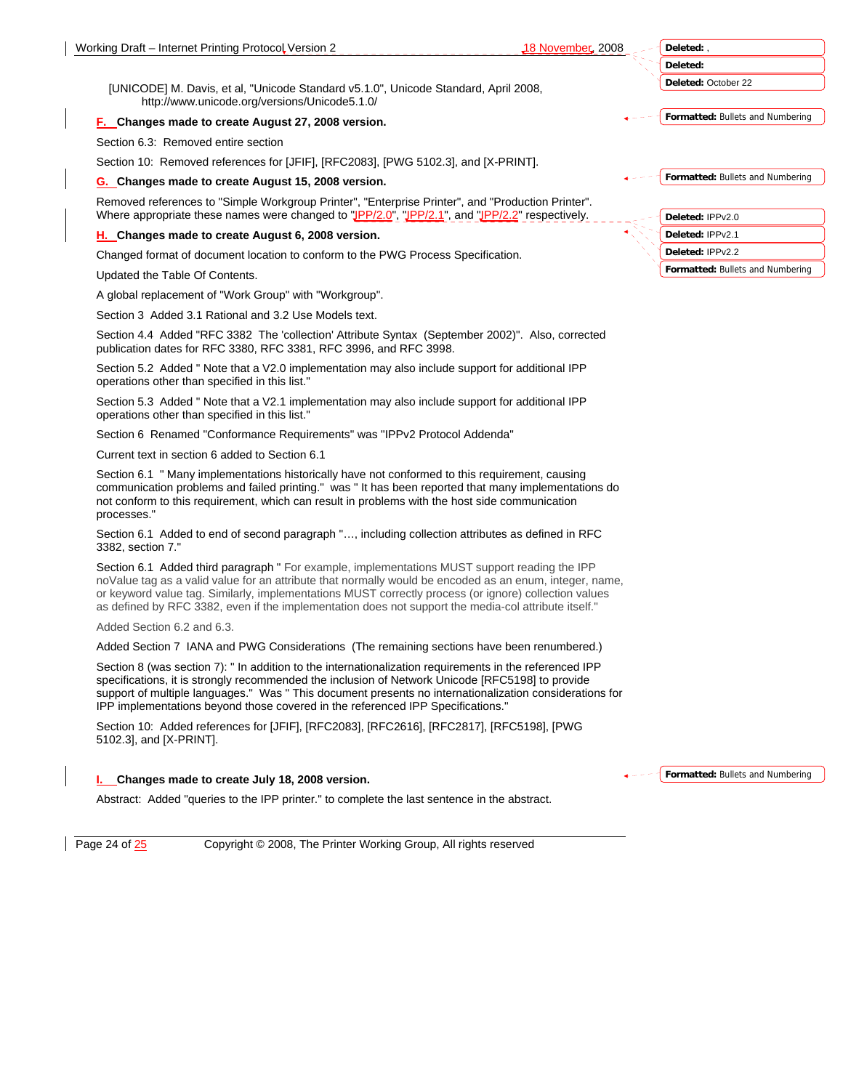**Deleted:** October 22

**Formatted:** Bullets and Numbering

Section 6.3: Removed entire section

Section 10: Removed references for [JFIF], [RFC2083], [PWG 5102.3], and [X-PRINT].

[UNICODE] M. Davis, et al, "Unicode Standard v5.1.0", Unicode Standard, April 2008,

#### **G. Changes made to create August 15, 2008 version.**

http://www.unicode.org/versions/Unicode5.1.0/ **F. Changes made to create August 27, 2008 version.** 

Removed references to "Simple Workgroup Printer", "Enterprise Printer", and "Production Printer". Where appropriate these names were changed to "JPP/2.0", "JPP/2.1", and "JPP/2.2" respectively.

#### **H. Changes made to create August 6, 2008 version.**

Changed format of document location to conform to the PWG Process Specification.

Updated the Table Of Contents.

A global replacement of "Work Group" with "Workgroup".

Section 3 Added 3.1 Rational and 3.2 Use Models text.

Section 4.4 Added "RFC 3382 The 'collection' Attribute Syntax (September 2002)". Also, corrected publication dates for RFC 3380, RFC 3381, RFC 3996, and RFC 3998.

Section 5.2 Added " Note that a V2.0 implementation may also include support for additional IPP operations other than specified in this list."

Section 5.3 Added " Note that a V2.1 implementation may also include support for additional IPP operations other than specified in this list."

Section 6 Renamed "Conformance Requirements" was "IPPv2 Protocol Addenda"

Current text in section 6 added to Section 6.1

Section 6.1 " Many implementations historically have not conformed to this requirement, causing communication problems and failed printing." was " It has been reported that many implementations do not conform to this requirement, which can result in problems with the host side communication processes."

Section 6.1 Added to end of second paragraph "…, including collection attributes as defined in RFC 3382, section 7."

Section 6.1 Added third paragraph " For example, implementations MUST support reading the IPP noValue tag as a valid value for an attribute that normally would be encoded as an enum, integer, name, or keyword value tag. Similarly, implementations MUST correctly process (or ignore) collection values as defined by RFC 3382, even if the implementation does not support the media-col attribute itself."

Added Section 6.2 and 6.3.

Added Section 7 IANA and PWG Considerations (The remaining sections have been renumbered.)

Section 8 (was section 7): " In addition to the internationalization requirements in the referenced IPP specifications, it is strongly recommended the inclusion of Network Unicode [RFC5198] to provide support of multiple languages." Was " This document presents no internationalization considerations for IPP implementations beyond those covered in the referenced IPP Specifications."

Section 10: Added references for [JFIF], [RFC2083], [RFC2616], [RFC2817], [RFC5198], [PWG 5102.3], and [X-PRINT].

#### **I. Changes made to create July 18, 2008 version.**

**Formatted:** Bullets and Numbering

Abstract: Added "queries to the IPP printer." to complete the last sentence in the abstract.

Page 24 of  $\frac{25}{25}$  Copyright © 2008, The Printer Working Group, All rights reserved

**Formatted:** Bullets and Numbering **Deleted:** IPPv2.0 **Deleted:** IPPv2.1 **Deleted:** IPPv2.2

**Formatted:** Bullets and Numbering